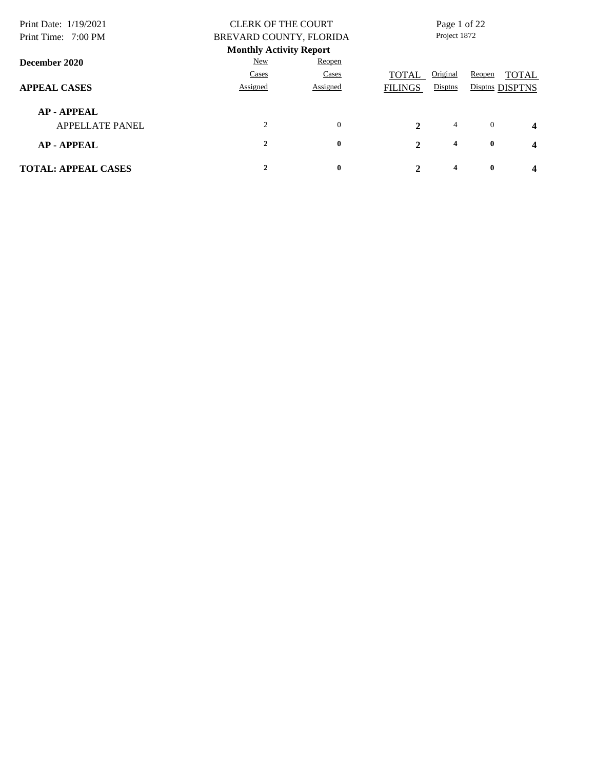| Print Date: 1/19/2021<br>Print Time: 7:00 PM |              | <b>CLERK OF THE COURT</b><br>BREVARD COUNTY, FLORIDA |                |                         | Page 1 of 22<br>Project 1872 |                         |  |
|----------------------------------------------|--------------|------------------------------------------------------|----------------|-------------------------|------------------------------|-------------------------|--|
|                                              |              | <b>Monthly Activity Report</b>                       |                |                         |                              |                         |  |
| December 2020                                | New          | Reopen                                               |                |                         |                              |                         |  |
|                                              | Cases        | Cases                                                | <b>TOTAL</b>   | Original                | Reopen                       | <b>TOTAL</b>            |  |
| <b>APPEAL CASES</b>                          | Assigned     | Assigned                                             | <b>FILINGS</b> | Disptns                 |                              | Disptns DISPTNS         |  |
| <b>AP-APPEAL</b>                             |              |                                                      |                |                         |                              |                         |  |
| <b>APPELLATE PANEL</b>                       | 2            | $\mathbf{0}$                                         | $\mathbf{2}$   | 4                       | $\overline{0}$               | $\overline{\mathbf{4}}$ |  |
| <b>AP-APPEAL</b>                             | $\mathbf{2}$ | $\bf{0}$                                             | $\mathbf{2}$   | $\overline{\mathbf{4}}$ | $\bf{0}$                     | $\overline{\mathbf{4}}$ |  |
| <b>TOTAL: APPEAL CASES</b>                   |              | $\bf{0}$                                             | $\mathbf 2$    | 4                       | $\mathbf{0}$                 | 4                       |  |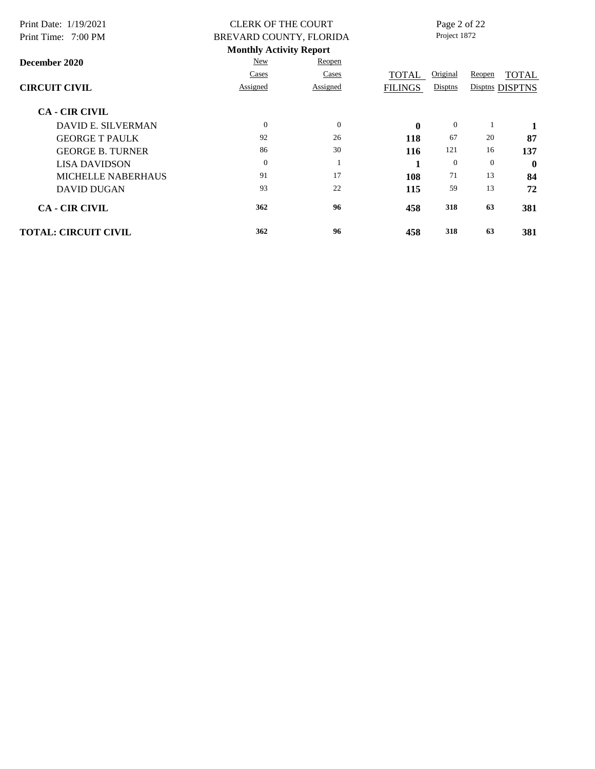| Print Date: 1/19/2021<br>Print Time: 7:00 PM |          | <b>CLERK OF THE COURT</b><br>BREVARD COUNTY, FLORIDA | Page 2 of 22<br>Project 1872 |                |          |                 |
|----------------------------------------------|----------|------------------------------------------------------|------------------------------|----------------|----------|-----------------|
|                                              |          | <b>Monthly Activity Report</b>                       |                              |                |          |                 |
| December 2020                                | New      | Reopen                                               |                              |                |          |                 |
|                                              | Cases    | Cases                                                | TOTAL                        | Original       | Reopen   | <b>TOTAL</b>    |
| <b>CIRCUIT CIVIL</b>                         | Assigned | Assigned                                             | <b>FILINGS</b>               | Disptns        |          | Disptns DISPTNS |
| <b>CA - CIR CIVIL</b>                        |          |                                                      |                              |                |          |                 |
| <b>DAVID E. SILVERMAN</b>                    | $\Omega$ | $\boldsymbol{0}$                                     | $\mathbf{0}$                 | $\mathbf{0}$   |          | 1               |
| <b>GEORGE T PAULK</b>                        | 92       | 26                                                   | 118                          | 67             | 20       | 87              |
| <b>GEORGE B. TURNER</b>                      | 86       | 30                                                   | 116                          | 121            | 16       | 137             |
| <b>LISA DAVIDSON</b>                         | $\Omega$ | 1                                                    | -1                           | $\overline{0}$ | $\theta$ | $\mathbf{0}$    |
| <b>MICHELLE NABERHAUS</b>                    | 91       | 17                                                   | 108                          | 71             | 13       | 84              |
| <b>DAVID DUGAN</b>                           | 93       | 22                                                   | 115                          | 59             | 13       | 72              |
| <b>CA - CIR CIVIL</b>                        | 362      | 96                                                   | 458                          | 318            | 63       | 381             |
| <b>TOTAL: CIRCUIT CIVIL</b>                  | 362      | 96                                                   | 458                          | 318            | 63       | 381             |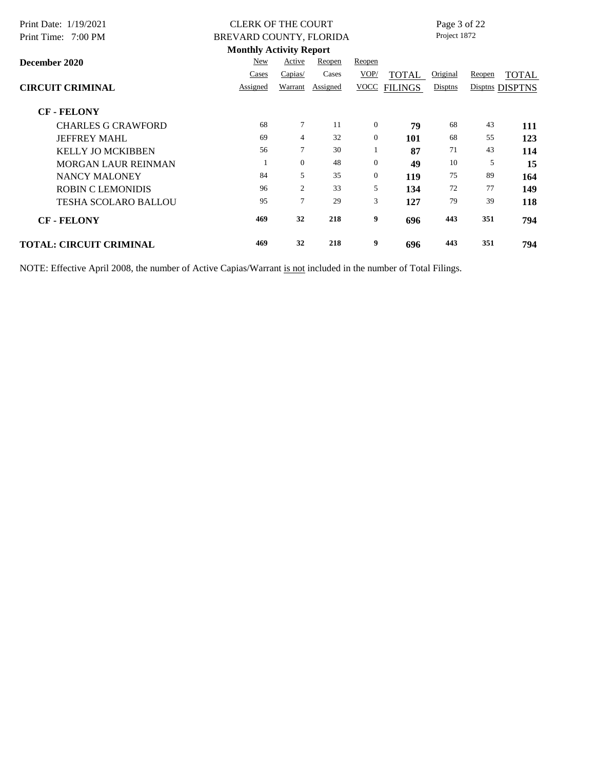| Print Date: 1/19/2021          | <b>CLERK OF THE COURT</b>      |                |          |                |                | Page 3 of 22 |        |                 |
|--------------------------------|--------------------------------|----------------|----------|----------------|----------------|--------------|--------|-----------------|
| Print Time: 7:00 PM            | BREVARD COUNTY, FLORIDA        |                |          |                |                | Project 1872 |        |                 |
|                                | <b>Monthly Activity Report</b> |                |          |                |                |              |        |                 |
| December 2020                  | New                            | Active         | Reopen   | Reopen         |                |              |        |                 |
|                                | Cases                          | Capias/        | Cases    | VOP/           | TOTAL          | Original     | Reopen | <b>TOTAL</b>    |
| <b>CIRCUIT CRIMINAL</b>        | Assigned                       | Warrant        | Assigned | <b>VOCC</b>    | <b>FILINGS</b> | Disptns      |        | Disptns DISPTNS |
| <b>CF - FELONY</b>             |                                |                |          |                |                |              |        |                 |
| <b>CHARLES G CRAWFORD</b>      | 68                             | $\tau$         | 11       | $\overline{0}$ | 79             | 68           | 43     | 111             |
| <b>JEFFREY MAHL</b>            | 69                             | $\overline{4}$ | 32       | $\mathbf{0}$   | 101            | 68           | 55     | 123             |
| <b>KELLY JO MCKIBBEN</b>       | 56                             | $\tau$         | 30       |                | 87             | 71           | 43     | 114             |
| <b>MORGAN LAUR REINMAN</b>     |                                | $\overline{0}$ | 48       | $\overline{0}$ | 49             | 10           | 5      | 15              |
| <b>NANCY MALONEY</b>           | 84                             | 5              | 35       | $\overline{0}$ | 119            | 75           | 89     | 164             |
| <b>ROBIN C LEMONIDIS</b>       | 96                             | 2              | 33       | 5              | 134            | 72           | 77     | 149             |
| <b>TESHA SCOLARO BALLOU</b>    | 95                             | $\tau$         | 29       | 3              | 127            | 79           | 39     | 118             |
| <b>CF-FELONY</b>               | 469                            | 32             | 218      | 9              | 696            | 443          | 351    | 794             |
| <b>TOTAL: CIRCUIT CRIMINAL</b> | 469                            | 32             | 218      | 9              | 696            | 443          | 351    | 794             |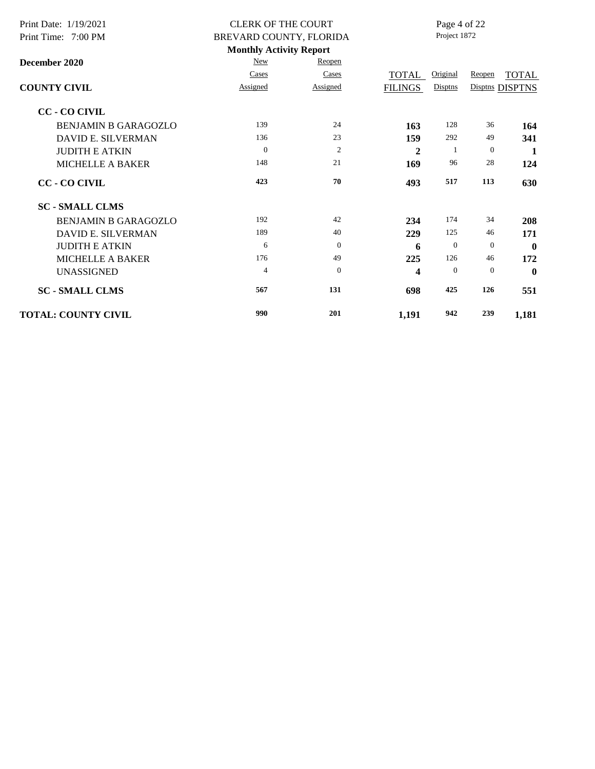| Print Date: 1/19/2021       | <b>CLERK OF THE COURT</b>      |                | Page 4 of 22   |              |          |                 |  |
|-----------------------------|--------------------------------|----------------|----------------|--------------|----------|-----------------|--|
| Print Time: 7:00 PM         | BREVARD COUNTY, FLORIDA        |                |                | Project 1872 |          |                 |  |
|                             | <b>Monthly Activity Report</b> |                |                |              |          |                 |  |
| December 2020               | New                            | Reopen         |                |              |          |                 |  |
|                             | Cases                          | Cases          | <b>TOTAL</b>   | Original     | Reopen   | <b>TOTAL</b>    |  |
| <b>COUNTY CIVIL</b>         | Assigned                       | Assigned       | <b>FILINGS</b> | Disptns      |          | Disptns DISPTNS |  |
| <b>CC - CO CIVIL</b>        |                                |                |                |              |          |                 |  |
| <b>BENJAMIN B GARAGOZLO</b> | 139                            | 24             | 163            | 128          | 36       | 164             |  |
| DAVID E. SILVERMAN          | 136                            | 23             | 159            | 292          | 49       | 341             |  |
| <b>JUDITH E ATKIN</b>       | $\theta$                       | $\mathfrak{2}$ | $\mathbf{2}$   | -1           | $\theta$ | 1               |  |
| MICHELLE A BAKER            | 148                            | 21             | 169            | 96           | 28       | 124             |  |
| <b>CC - CO CIVIL</b>        | 423                            | 70             | 493            | 517          | 113      | 630             |  |
| <b>SC - SMALL CLMS</b>      |                                |                |                |              |          |                 |  |
| <b>BENJAMIN B GARAGOZLO</b> | 192                            | 42             | 234            | 174          | 34       | 208             |  |
| DAVID E. SILVERMAN          | 189                            | 40             | 229            | 125          | 46       | 171             |  |
| <b>JUDITH E ATKIN</b>       | 6                              | $\Omega$       | 6              | $\mathbf{0}$ | $\theta$ | $\mathbf{0}$    |  |
| <b>MICHELLE A BAKER</b>     | 176                            | 49             | 225            | 126          | 46       | 172             |  |
| <b>UNASSIGNED</b>           | $\overline{4}$                 | $\theta$       | 4              | $\mathbf{0}$ | $\theta$ | $\mathbf 0$     |  |
| <b>SC - SMALL CLMS</b>      | 567                            | 131            | 698            | 425          | 126      | 551             |  |
| <b>TOTAL: COUNTY CIVIL</b>  | 990                            | 201            | 1,191          | 942          | 239      | 1,181           |  |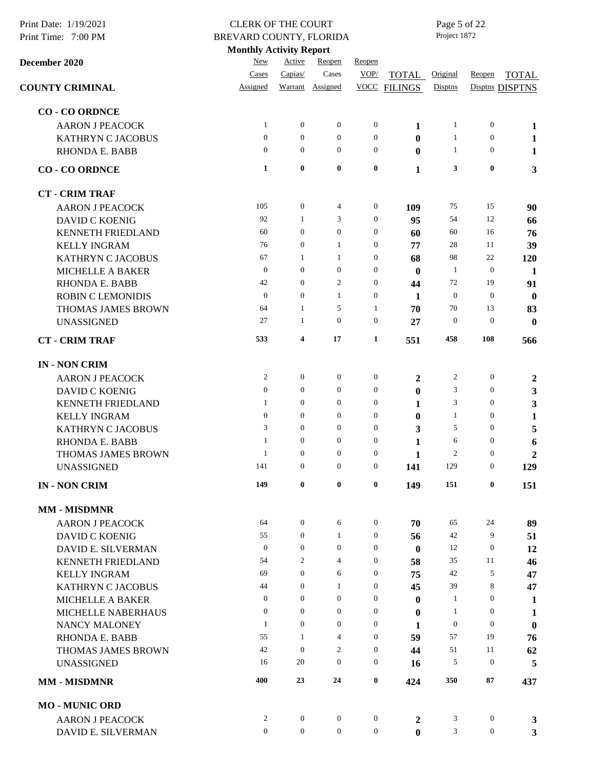| Print Date: 1/19/2021<br>Print Time: 7:00 PM | <b>CLERK OF THE COURT</b><br>BREVARD COUNTY, FLORIDA<br><b>Monthly Activity Report</b> |                  |                  |                  |                |                |                  |                         |  | Page 5 of 22<br>Project 1872 |  |  |  |
|----------------------------------------------|----------------------------------------------------------------------------------------|------------------|------------------|------------------|----------------|----------------|------------------|-------------------------|--|------------------------------|--|--|--|
| December 2020                                | New                                                                                    | Active           | Reopen           | Reopen           |                |                |                  |                         |  |                              |  |  |  |
|                                              | Cases                                                                                  | Capias/          | Cases            | VOP/             | <b>TOTAL</b>   | Original       | Reopen           | <b>TOTAL</b>            |  |                              |  |  |  |
| <b>COUNTY CRIMINAL</b>                       | Assigned                                                                               |                  | Warrant Assigned | <b>VOCC</b>      | <b>FILINGS</b> | Disptns        |                  | Disptns DISPTNS         |  |                              |  |  |  |
| <b>CO - CO ORDNCE</b>                        |                                                                                        |                  |                  |                  |                |                |                  |                         |  |                              |  |  |  |
| <b>AARON J PEACOCK</b>                       | $\mathbf{1}$                                                                           | $\boldsymbol{0}$ | $\mathbf{0}$     | $\boldsymbol{0}$ | 1              | $\mathbf{1}$   | $\mathbf{0}$     | 1                       |  |                              |  |  |  |
| <b>KATHRYN C JACOBUS</b>                     | $\theta$                                                                               | $\theta$         | $\overline{0}$   | $\boldsymbol{0}$ | $\bf{0}$       | $\mathbf{1}$   | $\theta$         | 1                       |  |                              |  |  |  |
| <b>RHONDA E. BABB</b>                        | $\overline{0}$                                                                         | $\overline{0}$   | $\overline{0}$   | $\mathbf{0}$     | $\bf{0}$       | 1              | $\overline{0}$   | $\mathbf{1}$            |  |                              |  |  |  |
| <b>CO-COORDNCE</b>                           | $\mathbf{1}$                                                                           | $\bf{0}$         | $\bf{0}$         | $\bf{0}$         | 1              | 3              | $\bf{0}$         | 3                       |  |                              |  |  |  |
| <b>CT - CRIM TRAF</b>                        |                                                                                        |                  |                  |                  |                |                |                  |                         |  |                              |  |  |  |
| <b>AARON J PEACOCK</b>                       | 105                                                                                    | $\boldsymbol{0}$ | 4                | $\boldsymbol{0}$ | 109            | 75             | 15               | 90                      |  |                              |  |  |  |
| <b>DAVID C KOENIG</b>                        | 92                                                                                     | 1                | 3                | $\boldsymbol{0}$ | 95             | 54             | 12               | 66                      |  |                              |  |  |  |
| <b>KENNETH FRIEDLAND</b>                     | 60                                                                                     | $\theta$         | $\overline{0}$   | $\boldsymbol{0}$ | 60             | 60             | 16               | 76                      |  |                              |  |  |  |
| <b>KELLY INGRAM</b>                          | 76                                                                                     | $\mathbf{0}$     | $\mathbf{1}$     | $\boldsymbol{0}$ | 77             | 28             | 11               | 39                      |  |                              |  |  |  |
| <b>KATHRYN C JACOBUS</b>                     | 67                                                                                     | 1                | $\mathbf{1}$     | $\boldsymbol{0}$ | 68             | 98             | 22               | 120                     |  |                              |  |  |  |
| <b>MICHELLE A BAKER</b>                      | $\boldsymbol{0}$                                                                       | $\boldsymbol{0}$ | $\overline{0}$   | $\boldsymbol{0}$ | $\bf{0}$       | -1             | $\theta$         | $\mathbf{1}$            |  |                              |  |  |  |
| <b>RHONDA E. BABB</b>                        | 42                                                                                     | $\boldsymbol{0}$ | 2                | $\boldsymbol{0}$ | 44             | 72             | 19               | 91                      |  |                              |  |  |  |
| <b>ROBIN C LEMONIDIS</b>                     | $\mathbf{0}$                                                                           | $\mathbf{0}$     | $\mathbf{1}$     | $\boldsymbol{0}$ | 1              | $\mathbf{0}$   | $\mathbf{0}$     | $\bf{0}$                |  |                              |  |  |  |
| THOMAS JAMES BROWN                           | 64                                                                                     | 1                | 5                | 1                | 70             | 70             | 13               | 83                      |  |                              |  |  |  |
| <b>UNASSIGNED</b>                            | 27                                                                                     | 1                | $\mathbf{0}$     | $\boldsymbol{0}$ | 27             | $\mathbf{0}$   | $\theta$         | $\bf{0}$                |  |                              |  |  |  |
| <b>CT - CRIM TRAF</b>                        | 533                                                                                    | 4                | 17               | $\mathbf{1}$     | 551            | 458            | 108              | 566                     |  |                              |  |  |  |
| <b>IN - NON CRIM</b>                         |                                                                                        |                  |                  |                  |                |                |                  |                         |  |                              |  |  |  |
| <b>AARON J PEACOCK</b>                       | $\overline{c}$                                                                         | $\mathbf{0}$     | $\mathbf{0}$     | $\boldsymbol{0}$ | $\mathbf{2}$   | $\overline{2}$ | $\mathbf{0}$     | $\boldsymbol{2}$        |  |                              |  |  |  |
| <b>DAVID C KOENIG</b>                        | $\mathbf{0}$                                                                           | $\boldsymbol{0}$ | 0                | $\boldsymbol{0}$ | $\bf{0}$       | 3              | $\mathbf{0}$     | 3                       |  |                              |  |  |  |
| <b>KENNETH FRIEDLAND</b>                     | 1                                                                                      | $\mathbf{0}$     | $\mathbf{0}$     | $\boldsymbol{0}$ | 1              | 3              | $\overline{0}$   | $\mathbf{3}$            |  |                              |  |  |  |
| <b>KELLY INGRAM</b>                          | $\mathbf{0}$                                                                           | $\boldsymbol{0}$ | 0                | $\boldsymbol{0}$ | $\bf{0}$       | $\mathbf{1}$   | $\mathbf{0}$     | $\mathbf{1}$            |  |                              |  |  |  |
| <b>KATHRYN C JACOBUS</b>                     | 3                                                                                      | $\boldsymbol{0}$ | $\boldsymbol{0}$ | $\boldsymbol{0}$ | 3              | 5              | $\mathbf{0}$     | 5                       |  |                              |  |  |  |
| <b>RHONDA E. BABB</b>                        | 1                                                                                      | $\overline{0}$   | $\overline{0}$   | $\boldsymbol{0}$ | 1              | 6              | $\theta$         | 6                       |  |                              |  |  |  |
| THOMAS JAMES BROWN                           | $\mathbf{1}$                                                                           | $\mathbf{0}$     | $\boldsymbol{0}$ | $\boldsymbol{0}$ | $\mathbf{1}$   | $\overline{c}$ | $\mathbf{0}$     | $\overline{2}$          |  |                              |  |  |  |
| <b>UNASSIGNED</b>                            | 141                                                                                    | $\theta$         | $\overline{0}$   | $\boldsymbol{0}$ | 141            | 129            | $\mathbf{0}$     | 129                     |  |                              |  |  |  |
| <b>IN - NON CRIM</b>                         | 149                                                                                    | $\bf{0}$         | $\bf{0}$         | $\bf{0}$         | 149            | 151            | $\bf{0}$         | 151                     |  |                              |  |  |  |
| <b>MM - MISDMNR</b>                          |                                                                                        |                  |                  |                  |                |                |                  |                         |  |                              |  |  |  |
| <b>AARON J PEACOCK</b>                       | 64                                                                                     | $\boldsymbol{0}$ | 6                | $\boldsymbol{0}$ | 70             | 65             | 24               | 89                      |  |                              |  |  |  |
| <b>DAVID C KOENIG</b>                        | 55                                                                                     | $\mathbf{0}$     | $\mathbf{1}$     | $\boldsymbol{0}$ | 56             | 42             | 9                | 51                      |  |                              |  |  |  |
| DAVID E. SILVERMAN                           | $\mathbf{0}$                                                                           | $\mathbf{0}$     | $\boldsymbol{0}$ | $\boldsymbol{0}$ | $\bf{0}$       | 12             | $\boldsymbol{0}$ | 12                      |  |                              |  |  |  |
| KENNETH FRIEDLAND                            | 54                                                                                     | $\overline{2}$   | 4                | $\boldsymbol{0}$ | 58             | 35             | 11               | 46                      |  |                              |  |  |  |
| <b>KELLY INGRAM</b>                          | 69                                                                                     | $\boldsymbol{0}$ | 6                | $\boldsymbol{0}$ | 75             | 42             | 5                | 47                      |  |                              |  |  |  |
| KATHRYN C JACOBUS                            | 44                                                                                     | $\theta$         | 1                | $\boldsymbol{0}$ | 45             | 39             | 8                | 47                      |  |                              |  |  |  |
| <b>MICHELLE A BAKER</b>                      | $\theta$                                                                               | $\overline{0}$   | $\boldsymbol{0}$ | $\boldsymbol{0}$ | $\bf{0}$       | 1              | $\mathbf{0}$     | $\mathbf{1}$            |  |                              |  |  |  |
| MICHELLE NABERHAUS                           | $\theta$                                                                               | $\theta$         | $\boldsymbol{0}$ | $\boldsymbol{0}$ | $\bf{0}$       | 1              | $\mathbf{0}$     | $\mathbf{1}$            |  |                              |  |  |  |
| <b>NANCY MALONEY</b>                         | $\mathbf{1}$                                                                           | $\boldsymbol{0}$ | $\boldsymbol{0}$ | $\boldsymbol{0}$ | 1              | $\mathbf{0}$   | $\mathbf{0}$     | $\boldsymbol{0}$        |  |                              |  |  |  |
| <b>RHONDA E. BABB</b>                        | 55                                                                                     | 1                | $\overline{4}$   | $\boldsymbol{0}$ | 59             | 57             | 19               | 76                      |  |                              |  |  |  |
| THOMAS JAMES BROWN                           | 42                                                                                     | $\mathbf{0}$     | 2                | $\boldsymbol{0}$ | 44             | 51             | 11               | 62                      |  |                              |  |  |  |
| <b>UNASSIGNED</b>                            | 16                                                                                     | 20               | $\boldsymbol{0}$ | $\boldsymbol{0}$ | 16             | 5              | $\mathbf{0}$     | 5                       |  |                              |  |  |  |
| <b>MM - MISDMNR</b>                          | 400                                                                                    | 23               | 24               | $\bf{0}$         | 424            | 350            | 87               | 437                     |  |                              |  |  |  |
| <b>MO - MUNIC ORD</b>                        |                                                                                        |                  |                  |                  |                |                |                  |                         |  |                              |  |  |  |
| <b>AARON J PEACOCK</b>                       | $\overline{c}$                                                                         | $\boldsymbol{0}$ | $\boldsymbol{0}$ | $\boldsymbol{0}$ | 2              | 3              | $\boldsymbol{0}$ | $\mathbf{3}$            |  |                              |  |  |  |
| DAVID E. SILVERMAN                           | $\mathbf{0}$                                                                           | $\boldsymbol{0}$ | $\boldsymbol{0}$ | $\boldsymbol{0}$ | $\bf{0}$       | 3              | $\overline{0}$   | $\overline{\mathbf{3}}$ |  |                              |  |  |  |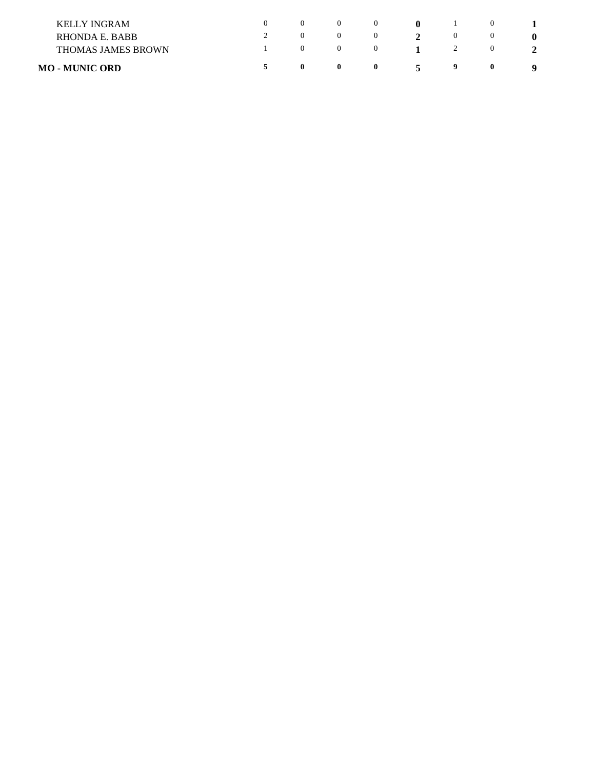| <b>MO - MUNIC ORD</b>     | $\mathbf{0}$ | $\bf{0}$ | $\bf{0}$ | $\ddot{\phantom{1}}$ | 9 | $\bf{0}$ |  |
|---------------------------|--------------|----------|----------|----------------------|---|----------|--|
| <b>THOMAS JAMES BROWN</b> |              |          |          |                      |   |          |  |
| RHONDA E. BABB            |              |          |          |                      |   |          |  |
| <b>KELLY INGRAM</b>       | $\theta$     |          |          | -0                   |   |          |  |
|                           |              |          |          |                      |   |          |  |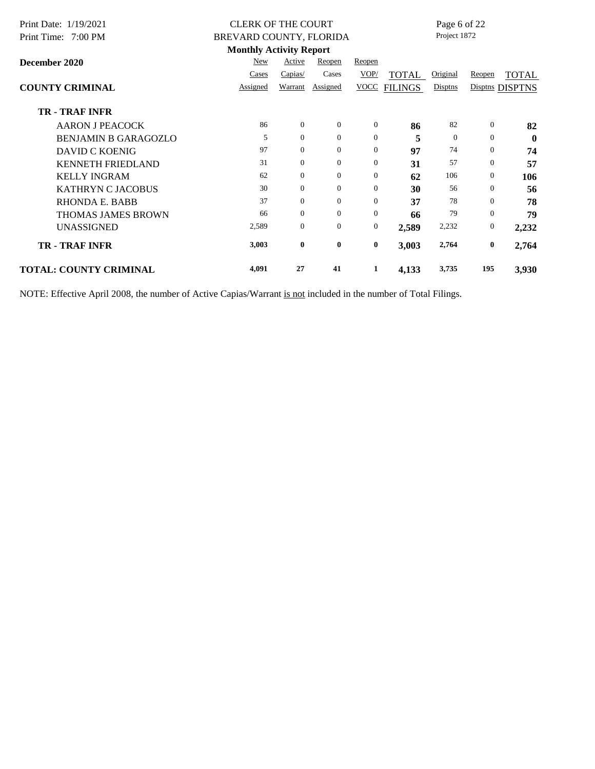| Print Date: 1/19/2021         | <b>CLERK OF THE COURT</b>      |                |                |                  |                | Page 6 of 22<br>Project 1872 |                |                  |
|-------------------------------|--------------------------------|----------------|----------------|------------------|----------------|------------------------------|----------------|------------------|
| Print Time: 7:00 PM           | BREVARD COUNTY, FLORIDA        |                |                |                  |                |                              |                |                  |
|                               | <b>Monthly Activity Report</b> |                |                |                  |                |                              |                |                  |
| December 2020                 | New                            | Active         | Reopen         | Reopen           |                |                              |                |                  |
|                               | Cases                          | Capias/        | Cases          | VOP/             | <b>TOTAL</b>   | Original                     | Reopen         | <b>TOTAL</b>     |
| <b>COUNTY CRIMINAL</b>        | Assigned                       | Warrant        | Assigned       | <b>VOCC</b>      | <b>FILINGS</b> | Disptns                      |                | Disptns DISPTNS  |
| <b>TR - TRAF INFR</b>         |                                |                |                |                  |                |                              |                |                  |
| <b>AARON J PEACOCK</b>        | 86                             | $\Omega$       | $\overline{0}$ | $\overline{0}$   | 86             | 82                           | $\overline{0}$ | 82               |
| <b>BENJAMIN B GARAGOZLO</b>   | 5                              | $\theta$       | $\mathbf{0}$   | $\overline{0}$   | 5              | $\overline{0}$               | $\overline{0}$ | $\boldsymbol{0}$ |
| <b>DAVID C KOENIG</b>         | 97                             | $\overline{0}$ | $\mathbf{0}$   | $\mathbf{0}$     | 97             | 74                           | $\overline{0}$ | 74               |
| <b>KENNETH FRIEDLAND</b>      | 31                             | $\Omega$       | $\mathbf{0}$   | $\overline{0}$   | 31             | 57                           | $\overline{0}$ | 57               |
| <b>KELLY INGRAM</b>           | 62                             | $\overline{0}$ | $\mathbf{0}$   | $\overline{0}$   | 62             | 106                          | $\overline{0}$ | 106              |
| <b>KATHRYN C JACOBUS</b>      | 30                             | $\overline{0}$ | $\mathbf{0}$   | $\overline{0}$   | 30             | 56                           | $\overline{0}$ | 56               |
| RHONDA E. BABB                | 37                             | $\Omega$       | $\Omega$       | $\overline{0}$   | 37             | 78                           | $\Omega$       | 78               |
| <b>THOMAS JAMES BROWN</b>     | 66                             | $\overline{0}$ | $\mathbf{0}$   | $\overline{0}$   | 66             | 79                           | $\overline{0}$ | 79               |
| <b>UNASSIGNED</b>             | 2,589                          | $\Omega$       | $\mathbf{0}$   | $\boldsymbol{0}$ | 2,589          | 2,232                        | $\overline{0}$ | 2,232            |
| <b>TR - TRAF INFR</b>         | 3,003                          | $\bf{0}$       | $\bf{0}$       | $\bf{0}$         | 3,003          | 2,764                        | $\bf{0}$       | 2,764            |
| <b>TOTAL: COUNTY CRIMINAL</b> | 4,091                          | 27             | 41             | 1                | 4,133          | 3,735                        | 195            | 3,930            |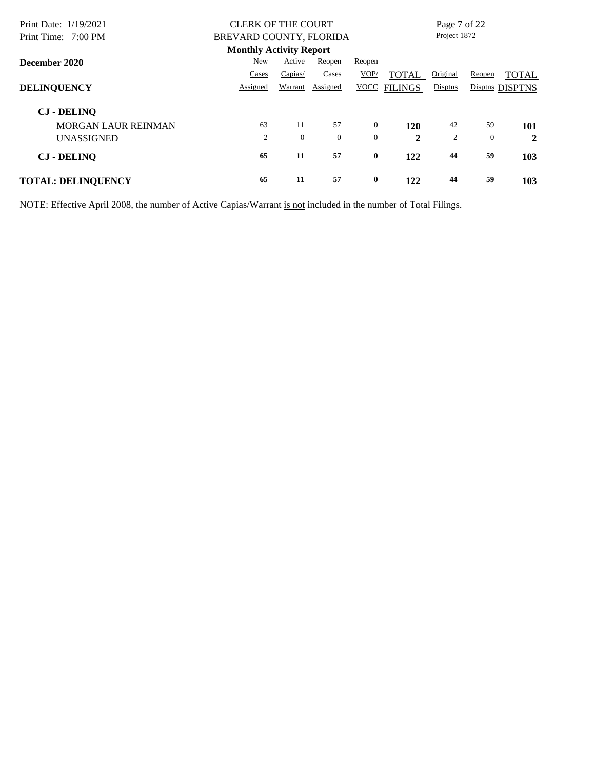| Print Date: 1/19/2021      | <b>CLERK OF THE COURT</b>      |                |                |                |                | Page 7 of 22 |                |                 |
|----------------------------|--------------------------------|----------------|----------------|----------------|----------------|--------------|----------------|-----------------|
| Print Time: 7:00 PM        | BREVARD COUNTY, FLORIDA        |                |                |                |                | Project 1872 |                |                 |
|                            | <b>Monthly Activity Report</b> |                |                |                |                |              |                |                 |
| December 2020              | New                            | Active         | Reopen         | Reopen         |                |              |                |                 |
|                            | Cases                          | Capias/        | Cases          | VOP/           | TOTAL          | Original     | Reopen         | <b>TOTAL</b>    |
| <b>DELINQUENCY</b>         | Assigned                       | Warrant        | Assigned       | <b>VOCC</b>    | <b>FILINGS</b> | Disptns      |                | Disptns DISPTNS |
| <b>CJ - DELINO</b>         |                                |                |                |                |                |              |                |                 |
| <b>MORGAN LAUR REINMAN</b> | 63                             | 11             | 57             | $\overline{0}$ | 120            | 42           | 59             | 101             |
| <b>UNASSIGNED</b>          | $\overline{2}$                 | $\overline{0}$ | $\overline{0}$ | $\theta$       | $\mathbf{2}$   | 2            | $\overline{0}$ | $\mathbf{2}$    |
| <b>CJ</b> - DELINQ         | 65                             | 11             | 57             | $\bf{0}$       | 122            | 44           | 59             | 103             |
| <b>TOTAL: DELINQUENCY</b>  | 65                             | 11             | 57             | $\bf{0}$       | 122            | 44           | 59             | 103             |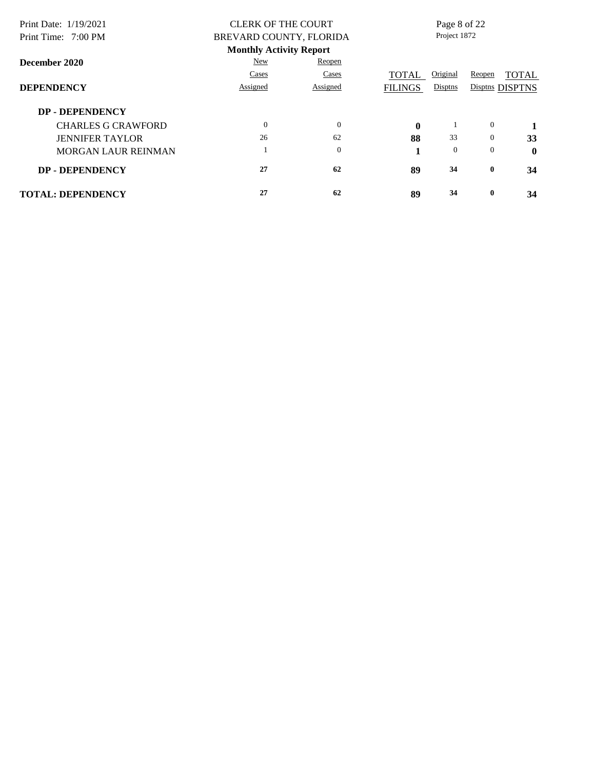| Print Date: 1/19/2021     | <b>CLERK OF THE COURT</b>      |              | Page 8 of 22   |                |                |                 |
|---------------------------|--------------------------------|--------------|----------------|----------------|----------------|-----------------|
| Print Time: 7:00 PM       | BREVARD COUNTY, FLORIDA        |              |                | Project 1872   |                |                 |
|                           | <b>Monthly Activity Report</b> |              |                |                |                |                 |
| December 2020             | New                            | Reopen       |                |                |                |                 |
|                           | Cases                          | Cases        | <b>TOTAL</b>   | Original       | Reopen         | <b>TOTAL</b>    |
| <b>DEPENDENCY</b>         | Assigned                       | Assigned     | <b>FILINGS</b> | Disptns        |                | Disptns DISPTNS |
| <b>DP - DEPENDENCY</b>    |                                |              |                |                |                |                 |
| <b>CHARLES G CRAWFORD</b> | $\Omega$                       | $\theta$     | $\mathbf{0}$   |                | $\overline{0}$ | 1               |
| <b>JENNIFER TAYLOR</b>    | 26                             | 62           | 88             | 33             | $\overline{0}$ | 33              |
| MORGAN LAUR REINMAN       |                                | $\mathbf{0}$ |                | $\overline{0}$ | $\mathbf{0}$   | $\mathbf 0$     |
| <b>DP - DEPENDENCY</b>    | 27                             | 62           | 89             | 34             | $\bf{0}$       | 34              |
| <b>TOTAL: DEPENDENCY</b>  | 27                             | 62           | 89             | 34             | $\bf{0}$       | 34              |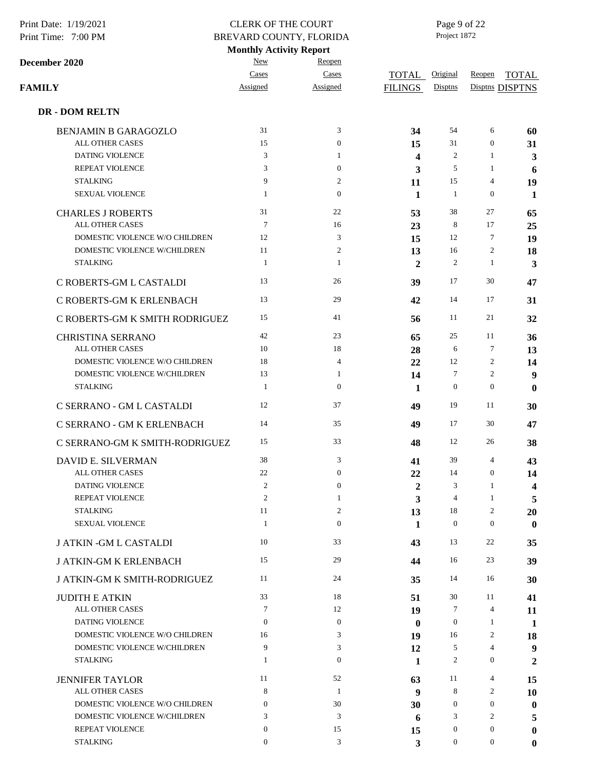| Print Date: 1/19/2021<br>Print Time: 7:00 PM | <b>CLERK OF THE COURT</b><br>BREVARD COUNTY, FLORIDA |                  |                         | Page 9 of 22<br>Project 1872 |                  |                  |
|----------------------------------------------|------------------------------------------------------|------------------|-------------------------|------------------------------|------------------|------------------|
|                                              | <b>Monthly Activity Report</b><br>New                | Reopen           |                         |                              |                  |                  |
| December 2020                                | Cases                                                | Cases            | TOTAL                   | Original                     | Reopen           | <b>TOTAL</b>     |
| FAMILY                                       | Assigned                                             | Assigned         | <b>FILINGS</b>          | Disptns                      |                  | Disptns DISPTNS  |
| <b>DR - DOM RELTN</b>                        |                                                      |                  |                         |                              |                  |                  |
| <b>BENJAMIN B GARAGOZLO</b>                  | 31                                                   | 3                | 34                      | 54                           | 6                | 60               |
| ALL OTHER CASES                              | 15                                                   | $\boldsymbol{0}$ | 15                      | 31                           | $\boldsymbol{0}$ | 31               |
| DATING VIOLENCE                              | 3                                                    | 1                | $\overline{\mathbf{4}}$ | $\overline{c}$               | 1                | 3                |
| REPEAT VIOLENCE                              | 3                                                    | $\boldsymbol{0}$ | 3                       | 5                            | $\mathbf{1}$     | 6                |
| <b>STALKING</b>                              | 9                                                    | $\overline{c}$   | 11                      | 15                           | 4                | 19               |
| <b>SEXUAL VIOLENCE</b>                       | $\mathbf{1}$                                         | $\boldsymbol{0}$ | 1                       | $\mathbf{1}$                 | $\boldsymbol{0}$ | 1                |
| <b>CHARLES J ROBERTS</b>                     | 31                                                   | 22               | 53                      | 38                           | 27               | 65               |
| ALL OTHER CASES                              | $7\phantom{.0}$                                      | 16               | 23                      | 8                            | 17               | 25               |
| DOMESTIC VIOLENCE W/O CHILDREN               | 12                                                   | $\mathfrak{Z}$   | 15                      | 12                           | $\tau$           | 19               |
| DOMESTIC VIOLENCE W/CHILDREN                 | 11                                                   | $\boldsymbol{2}$ | 13                      | 16                           | $\overline{c}$   | 18               |
| <b>STALKING</b>                              | $\mathbf{1}$                                         | 1                | $\mathbf{2}$            | 2                            | $\mathbf{1}$     | 3                |
| C ROBERTS-GM L CASTALDI                      | 13                                                   | 26               | 39                      | 17                           | 30               | 47               |
| C ROBERTS-GM K ERLENBACH                     | 13                                                   | 29               | 42                      | 14                           | 17               | 31               |
| C ROBERTS-GM K SMITH RODRIGUEZ               | 15                                                   | 41               | 56                      | 11                           | 21               | 32               |
| CHRISTINA SERRANO                            | 42                                                   | 23               | 65                      | 25                           | 11               | 36               |
| ALL OTHER CASES                              | 10                                                   | 18               | 28                      | 6                            | 7                | 13               |
| DOMESTIC VIOLENCE W/O CHILDREN               | 18                                                   | $\overline{4}$   | 22                      | 12                           | $\overline{c}$   | 14               |
| DOMESTIC VIOLENCE W/CHILDREN                 | 13                                                   | 1                | 14                      | 7                            | 2                | 9                |
| <b>STALKING</b>                              | $\mathbf{1}$                                         | $\boldsymbol{0}$ | 1                       | $\mathbf{0}$                 | $\boldsymbol{0}$ | $\boldsymbol{0}$ |
| C SERRANO - GM L CASTALDI                    | 12                                                   | 37               | 49                      | 19                           | 11               | 30               |
| C SERRANO - GM K ERLENBACH                   | 14                                                   | 35               | 49                      | 17                           | 30               | 47               |
| C SERRANO-GM K SMITH-RODRIGUEZ               | 15                                                   | 33               | 48                      | 12                           | 26               | 38               |
| DAVID E. SILVERMAN                           | 38                                                   | 3                | 41                      | 39                           | 4                | 43               |
| <b>ALL OTHER CASES</b>                       | 22                                                   | $\boldsymbol{0}$ | 22                      | 14                           | $\boldsymbol{0}$ | 14               |
| <b>DATING VIOLENCE</b>                       | 2                                                    | $\boldsymbol{0}$ | 2                       | 3                            | 1                | 4                |
| <b>REPEAT VIOLENCE</b>                       | $\mathfrak{2}$                                       | 1                | 3                       | $\overline{4}$               | 1                | 5                |
| <b>STALKING</b>                              | 11                                                   | 2                | 13                      | 18                           | 2                | 20               |
| <b>SEXUAL VIOLENCE</b>                       | 1                                                    | $\boldsymbol{0}$ | 1                       | $\mathbf{0}$                 | $\boldsymbol{0}$ | $\bf{0}$         |
| <b>J ATKIN - GM L CASTALDI</b>               | 10                                                   | 33               | 43                      | 13                           | 22               | 35               |
| <b>J ATKIN-GM K ERLENBACH</b>                | 15                                                   | 29               | 44                      | 16                           | 23               | 39               |
| J ATKIN-GM K SMITH-RODRIGUEZ                 | 11                                                   | 24               | 35                      | 14                           | 16               | 30               |
| <b>JUDITH E ATKIN</b>                        | 33                                                   | 18               | 51                      | 30                           | 11               | 41               |
| ALL OTHER CASES                              | 7                                                    | 12               | 19                      | 7                            | 4                | 11               |
| <b>DATING VIOLENCE</b>                       | $\overline{0}$                                       | $\boldsymbol{0}$ | $\bf{0}$                | $\mathbf{0}$                 | 1                | 1                |
| DOMESTIC VIOLENCE W/O CHILDREN               | 16                                                   | 3                | 19                      | 16                           | 2                | 18               |
| DOMESTIC VIOLENCE W/CHILDREN                 | 9                                                    | 3                | 12                      | 5                            | 4                | 9                |
| <b>STALKING</b>                              | 1                                                    | $\boldsymbol{0}$ | 1                       | 2                            | 0                | 2                |
| <b>JENNIFER TAYLOR</b><br>ALL OTHER CASES    | 11<br>8                                              | 52<br>1          | 63                      | 11<br>8                      | 4<br>2           | 15               |
| DOMESTIC VIOLENCE W/O CHILDREN               | $\overline{0}$                                       | 30               | 9                       | $\boldsymbol{0}$             | 0                | 10               |
| DOMESTIC VIOLENCE W/CHILDREN                 | 3                                                    | 3                | 30                      | 3                            | $\overline{c}$   | $\bf{0}$         |
| REPEAT VIOLENCE                              | $\overline{0}$                                       | 15               | 6                       | $\boldsymbol{0}$             | $\boldsymbol{0}$ | 5<br>$\bf{0}$    |
| <b>STALKING</b>                              | $\overline{0}$                                       | 3                | 15<br>3                 | $\overline{0}$               | $\mathbf{0}$     | $\bf{0}$         |
|                                              |                                                      |                  |                         |                              |                  |                  |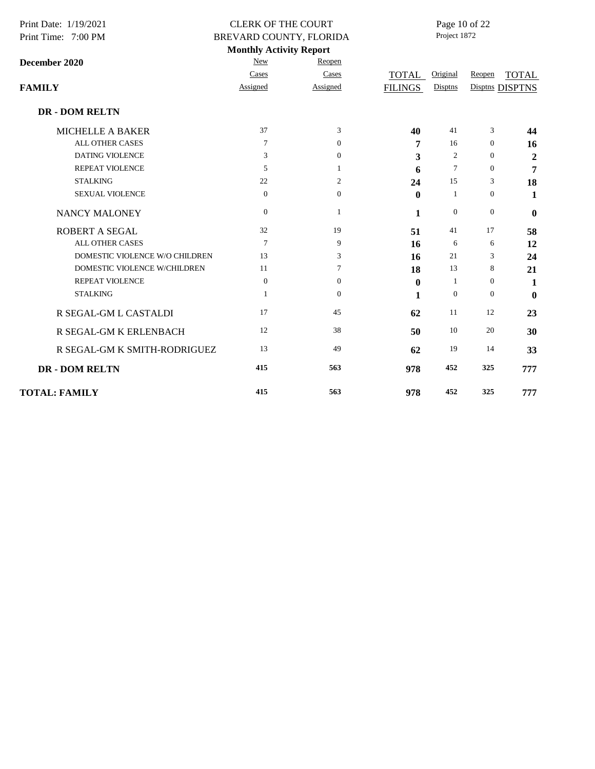| Print Date: 1/19/2021<br>Print Time: 7:00 PM | <b>CLERK OF THE COURT</b><br>BREVARD COUNTY, FLORIDA |                  |                | Page 10 of 22<br>Project 1872 |                  |                  |  |  |
|----------------------------------------------|------------------------------------------------------|------------------|----------------|-------------------------------|------------------|------------------|--|--|
|                                              | <b>Monthly Activity Report</b>                       |                  |                |                               |                  |                  |  |  |
| December 2020                                | New                                                  | Reopen           |                |                               |                  |                  |  |  |
|                                              | Cases                                                | Cases            | TOTAL          | Original                      | Reopen           | <b>TOTAL</b>     |  |  |
| <b>FAMILY</b>                                | Assigned                                             | Assigned         | <b>FILINGS</b> | Disptns                       |                  | Disptns DISPTNS  |  |  |
| <b>DR - DOM RELTN</b>                        |                                                      |                  |                |                               |                  |                  |  |  |
| <b>MICHELLE A BAKER</b>                      | 37                                                   | 3                | 40             | 41                            | 3                | 44               |  |  |
| <b>ALL OTHER CASES</b>                       | 7                                                    | $\boldsymbol{0}$ | 7              | 16                            | $\boldsymbol{0}$ | 16               |  |  |
| <b>DATING VIOLENCE</b>                       | 3                                                    | $\mathbf{0}$     | 3              | 2                             | $\boldsymbol{0}$ | $\boldsymbol{2}$ |  |  |
| REPEAT VIOLENCE                              | 5                                                    | 1                | 6              | $\overline{7}$                | $\boldsymbol{0}$ | 7                |  |  |
| <b>STALKING</b>                              | 22                                                   | $\overline{2}$   | 24             | 15                            | 3                | 18               |  |  |
| <b>SEXUAL VIOLENCE</b>                       | $\theta$                                             | $\boldsymbol{0}$ | $\mathbf{0}$   | 1                             | $\boldsymbol{0}$ | 1                |  |  |
| NANCY MALONEY                                | $\overline{0}$                                       | 1                | 1              | $\mathbf{0}$                  | $\mathbf{0}$     | $\mathbf{0}$     |  |  |
| <b>ROBERT A SEGAL</b>                        | 32                                                   | 19               | 51             | 41                            | 17               | 58               |  |  |
| <b>ALL OTHER CASES</b>                       | $\overline{7}$                                       | 9                | 16             | 6                             | 6                | 12               |  |  |
| DOMESTIC VIOLENCE W/O CHILDREN               | 13                                                   | 3                | 16             | 21                            | 3                | 24               |  |  |
| DOMESTIC VIOLENCE W/CHILDREN                 | 11                                                   | 7                | 18             | 13                            | 8                | 21               |  |  |
| <b>REPEAT VIOLENCE</b>                       | $\overline{0}$                                       | $\overline{0}$   | $\bf{0}$       | 1                             | $\boldsymbol{0}$ | 1                |  |  |
| <b>STALKING</b>                              | 1                                                    | $\mathbf{0}$     | 1              | $\overline{0}$                | $\mathbf{0}$     | $\mathbf{0}$     |  |  |
| R SEGAL-GM L CASTALDI                        | 17                                                   | 45               | 62             | 11                            | 12               | 23               |  |  |
| R SEGAL-GM K ERLENBACH                       | 12                                                   | 38               | 50             | 10                            | 20               | 30               |  |  |
| R SEGAL-GM K SMITH-RODRIGUEZ                 | 13                                                   | 49               | 62             | 19                            | 14               | 33               |  |  |
| <b>DR - DOM RELTN</b>                        | 415                                                  | 563              | 978            | 452                           | 325              | 777              |  |  |
| <b>TOTAL: FAMILY</b>                         | 415                                                  | 563              | 978            | 452                           | 325              | 777              |  |  |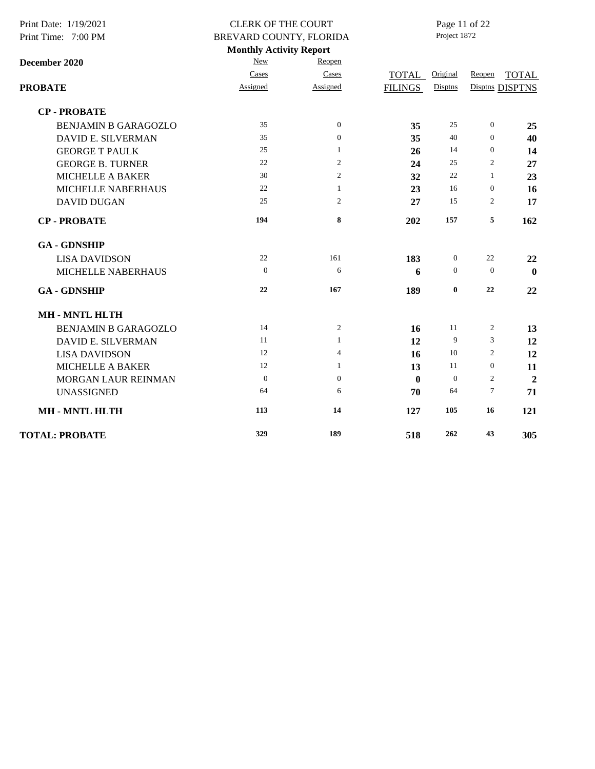| Print Date: 1/19/2021       | <b>CLERK OF THE COURT</b>                                 |                  |                | Page 11 of 22<br>Project 1872 |                  |                 |
|-----------------------------|-----------------------------------------------------------|------------------|----------------|-------------------------------|------------------|-----------------|
| Print Time: 7:00 PM         | BREVARD COUNTY, FLORIDA<br><b>Monthly Activity Report</b> |                  |                |                               |                  |                 |
| December 2020               | New                                                       | Reopen           |                |                               |                  |                 |
|                             | Cases                                                     | Cases            | TOTAL          | Original                      | Reopen           | <b>TOTAL</b>    |
| <b>PROBATE</b>              | Assigned                                                  | Assigned         | <b>FILINGS</b> | Disptns                       |                  | Disptns DISPTNS |
| <b>CP-PROBATE</b>           |                                                           |                  |                |                               |                  |                 |
| <b>BENJAMIN B GARAGOZLO</b> | 35                                                        | $\mathbf{0}$     | 35             | 25                            | $\boldsymbol{0}$ | 25              |
| DAVID E. SILVERMAN          | 35                                                        | $\boldsymbol{0}$ | 35             | 40                            | $\boldsymbol{0}$ | 40              |
| <b>GEORGE T PAULK</b>       | 25                                                        | 1                | 26             | 14                            | $\boldsymbol{0}$ | 14              |
| <b>GEORGE B. TURNER</b>     | 22                                                        | 2                | 24             | 25                            | 2                | 27              |
| <b>MICHELLE A BAKER</b>     | 30                                                        | $\overline{c}$   | 32             | $22\,$                        | $\mathbf{1}$     | 23              |
| MICHELLE NABERHAUS          | 22                                                        | $\mathbf{1}$     | 23             | 16                            | $\boldsymbol{0}$ | 16              |
| <b>DAVID DUGAN</b>          | 25                                                        | 2                | 27             | 15                            | 2                | 17              |
| <b>CP-PROBATE</b>           | 194                                                       | 8                | 202            | 157                           | 5                | 162             |
| <b>GA - GDNSHIP</b>         |                                                           |                  |                |                               |                  |                 |
| <b>LISA DAVIDSON</b>        | 22                                                        | 161              | 183            | $\mathbf{0}$                  | 22               | 22              |
| MICHELLE NABERHAUS          | $\theta$                                                  | 6                | 6              | $\theta$                      | $\theta$         | $\mathbf{0}$    |
| <b>GA - GDNSHIP</b>         | 22                                                        | 167              | 189            | $\bf{0}$                      | 22               | 22              |
| <b>MH-MNTL HLTH</b>         |                                                           |                  |                |                               |                  |                 |
| <b>BENJAMIN B GARAGOZLO</b> | 14                                                        | 2                | 16             | 11                            | 2                | 13              |
| <b>DAVID E. SILVERMAN</b>   | 11                                                        | 1                | 12             | 9                             | 3                | 12              |
| <b>LISA DAVIDSON</b>        | 12                                                        | $\overline{4}$   | 16             | 10                            | $\overline{c}$   | 12              |
| <b>MICHELLE A BAKER</b>     | 12                                                        | $\mathbf{1}$     | 13             | 11                            | $\boldsymbol{0}$ | 11              |
| MORGAN LAUR REINMAN         | $\mathbf{0}$                                              | $\mathbf{0}$     | $\bf{0}$       | $\mathbf{0}$                  | 2                | $\overline{2}$  |
| <b>UNASSIGNED</b>           | 64                                                        | 6                | 70             | 64                            | $\tau$           | 71              |
| <b>MH-MNTL HLTH</b>         | 113                                                       | 14               | 127            | 105                           | 16               | 121             |
| <b>TOTAL: PROBATE</b>       | 329                                                       | 189              | 518            | 262                           | 43               | 305             |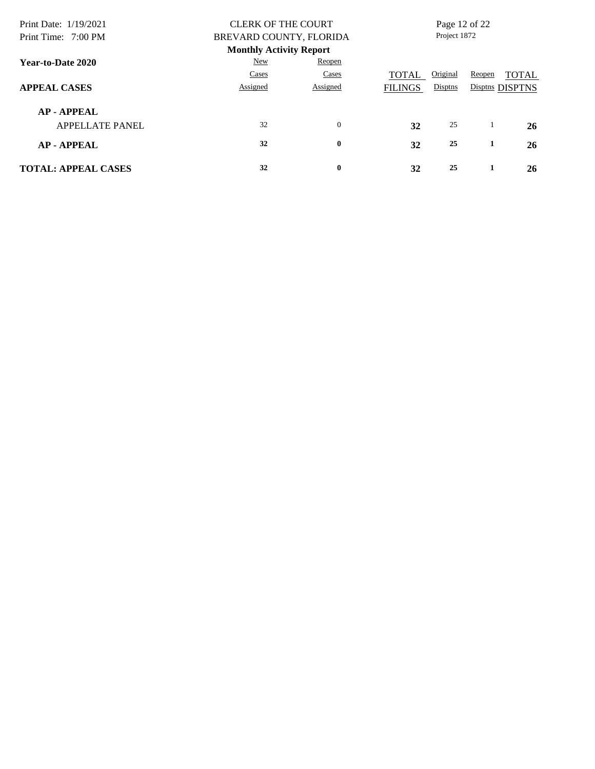| Print Date: 1/19/2021<br>Print Time: 7:00 PM | <b>CLERK OF THE COURT</b><br>BREVARD COUNTY, FLORIDA |                                |                |          | Page 12 of 22<br>Project 1872 |                 |  |
|----------------------------------------------|------------------------------------------------------|--------------------------------|----------------|----------|-------------------------------|-----------------|--|
|                                              |                                                      | <b>Monthly Activity Report</b> |                |          |                               |                 |  |
| Year-to-Date 2020                            | New                                                  | Reopen                         |                |          |                               |                 |  |
|                                              | Cases                                                | Cases                          | TOTAL          | Original | Reopen                        | <b>TOTAL</b>    |  |
| <b>APPEAL CASES</b>                          | Assigned                                             | Assigned                       | <b>FILINGS</b> | Disptns  |                               | Disptns DISPTNS |  |
| <b>AP-APPEAL</b>                             |                                                      |                                |                |          |                               |                 |  |
| <b>APPELLATE PANEL</b>                       | 32                                                   | $\mathbf{0}$                   | 32             | 25       |                               | 26              |  |
| <b>AP-APPEAL</b>                             | 32                                                   | $\bf{0}$                       | 32             | 25       | 1                             | 26              |  |
| <b>TOTAL: APPEAL CASES</b>                   | 32                                                   | $\bf{0}$                       | 32             | 25       |                               | 26              |  |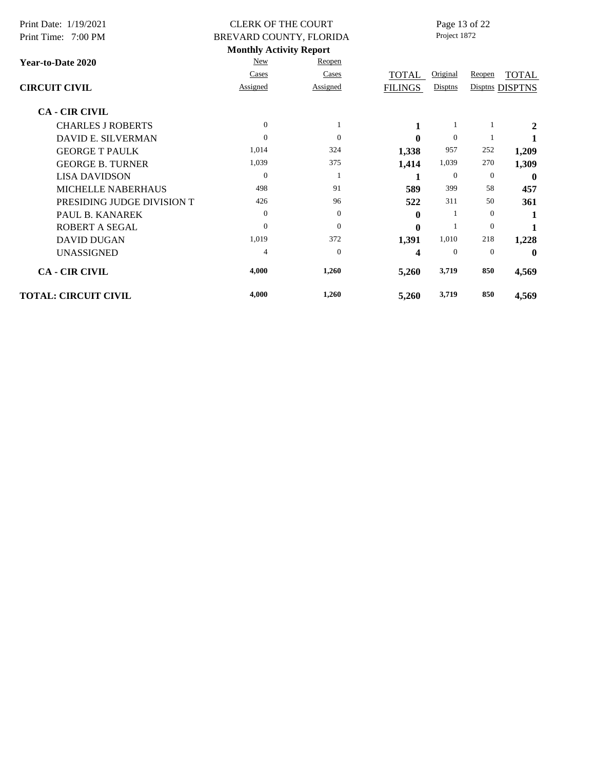| Print Date: 1/19/2021       |                | <b>CLERK OF THE COURT</b>      | Page 13 of 22  |                |                |                 |
|-----------------------------|----------------|--------------------------------|----------------|----------------|----------------|-----------------|
| Print Time: 7:00 PM         |                | BREVARD COUNTY, FLORIDA        | Project 1872   |                |                |                 |
|                             |                | <b>Monthly Activity Report</b> |                |                |                |                 |
| Year-to-Date 2020           | New            | Reopen                         |                |                |                |                 |
|                             | Cases          | Cases                          | <b>TOTAL</b>   | Original       | Reopen         | <b>TOTAL</b>    |
| <b>CIRCUIT CIVIL</b>        | Assigned       | Assigned                       | <b>FILINGS</b> | Disptns        |                | Disptns DISPTNS |
| <b>CA - CIR CIVIL</b>       |                |                                |                |                |                |                 |
| <b>CHARLES J ROBERTS</b>    | $\Omega$       |                                | 1              |                |                | 2               |
| DAVID E. SILVERMAN          | $\Omega$       | $\theta$                       | 0              | $\Omega$       |                | 1               |
| <b>GEORGE T PAULK</b>       | 1,014          | 324                            | 1,338          | 957            | 252            | 1,209           |
| <b>GEORGE B. TURNER</b>     | 1,039          | 375                            | 1,414          | 1,039          | 270            | 1,309           |
| <b>LISA DAVIDSON</b>        | $\overline{0}$ |                                | 1              | $\theta$       | $\theta$       | $\bf{0}$        |
| MICHELLE NABERHAUS          | 498            | 91                             | 589            | 399            | 58             | 457             |
| PRESIDING JUDGE DIVISION T  | 426            | 96                             | 522            | 311            | 50             | 361             |
| <b>PAUL B. KANAREK</b>      | $\overline{0}$ | $\mathbf{0}$                   | 0              | -1             | $\overline{0}$ | 1               |
| <b>ROBERT A SEGAL</b>       | $\Omega$       | $\Omega$                       | 0              |                | $\overline{0}$ | 1               |
| <b>DAVID DUGAN</b>          | 1,019          | 372                            | 1,391          | 1,010          | 218            | 1,228           |
| <b>UNASSIGNED</b>           | 4              | $\mathbf{0}$                   | 4              | $\overline{0}$ | $\overline{0}$ | 0               |
| <b>CA - CIR CIVIL</b>       | 4,000          | 1,260                          | 5,260          | 3,719          | 850            | 4,569           |
| <b>TOTAL: CIRCUIT CIVIL</b> | 4,000          | 1,260                          | 5,260          | 3,719          | 850            | 4,569           |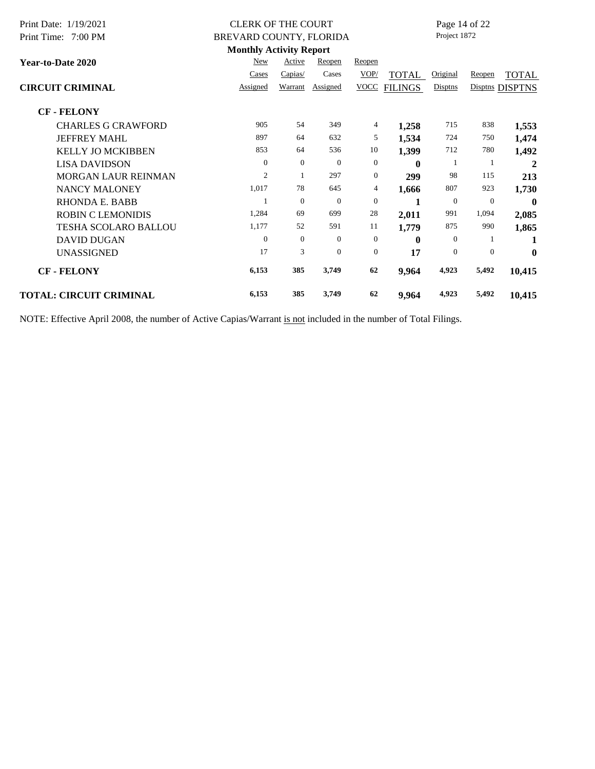| Print Date: 1/19/2021          | <b>CLERK OF THE COURT</b>      |                |          |                  |                | Page 14 of 22 |                |                 |
|--------------------------------|--------------------------------|----------------|----------|------------------|----------------|---------------|----------------|-----------------|
| Print Time: 7:00 PM            | BREVARD COUNTY, FLORIDA        |                |          |                  |                | Project 1872  |                |                 |
|                                | <b>Monthly Activity Report</b> |                |          |                  |                |               |                |                 |
| Year-to-Date 2020              | New                            | Active         | Reopen   | Reopen           |                |               |                |                 |
|                                | Cases                          | Capias/        | Cases    | VOP/             | <b>TOTAL</b>   | Original      | Reopen         | <b>TOTAL</b>    |
| <b>CIRCUIT CRIMINAL</b>        | Assigned                       | Warrant        | Assigned | <b>VOCC</b>      | <b>FILINGS</b> | Disptns       |                | Disptns DISPTNS |
| <b>CF-FELONY</b>               |                                |                |          |                  |                |               |                |                 |
| <b>CHARLES G CRAWFORD</b>      | 905                            | 54             | 349      | 4                | 1,258          | 715           | 838            | 1,553           |
| <b>JEFFREY MAHL</b>            | 897                            | 64             | 632      | 5                | 1,534          | 724           | 750            | 1,474           |
| <b>KELLY JO MCKIBBEN</b>       | 853                            | 64             | 536      | 10               | 1,399          | 712           | 780            | 1,492           |
| <b>LISA DAVIDSON</b>           | $\overline{0}$                 | $\theta$       | $\theta$ | $\boldsymbol{0}$ | $\mathbf{0}$   | 1             | -1             | $\mathbf{2}$    |
| <b>MORGAN LAUR REINMAN</b>     | $\overline{2}$                 | 1              | 297      | $\boldsymbol{0}$ | 299            | 98            | 115            | 213             |
| <b>NANCY MALONEY</b>           | 1,017                          | 78             | 645      | 4                | 1,666          | 807           | 923            | 1,730           |
| <b>RHONDA E. BABB</b>          |                                | $\theta$       | $\theta$ | $\boldsymbol{0}$ | 1              | $\mathbf{0}$  | $\overline{0}$ | $\mathbf{0}$    |
| <b>ROBIN C LEMONIDIS</b>       | 1,284                          | 69             | 699      | 28               | 2,011          | 991           | 1,094          | 2,085           |
| <b>TESHA SCOLARO BALLOU</b>    | 1,177                          | 52             | 591      | 11               | 1,779          | 875           | 990            | 1,865           |
| <b>DAVID DUGAN</b>             | $\Omega$                       | $\overline{0}$ | $\Omega$ | $\boldsymbol{0}$ | $\bf{0}$       | $\Omega$      | 1              | 1               |
| <b>UNASSIGNED</b>              | 17                             | 3              | $\theta$ | $\mathbf{0}$     | 17             | $\mathbf{0}$  | $\theta$       | $\mathbf{0}$    |
| <b>CF-FELONY</b>               | 6,153                          | 385            | 3,749    | 62               | 9,964          | 4,923         | 5,492          | 10,415          |
| <b>TOTAL: CIRCUIT CRIMINAL</b> | 6,153                          | 385            | 3,749    | 62               | 9,964          | 4,923         | 5,492          | 10,415          |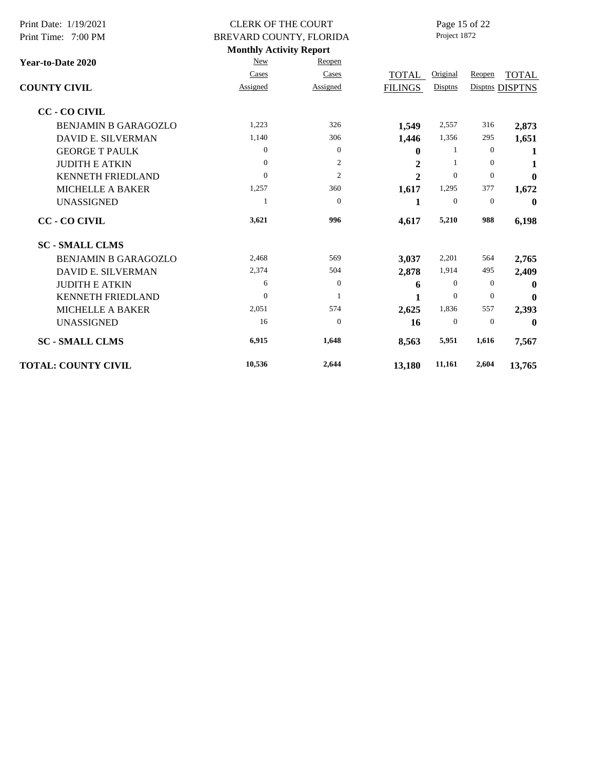| Print Date: 1/19/2021<br>Print Time: 7:00 PM | <b>CLERK OF THE COURT</b><br>BREVARD COUNTY, FLORIDA |                | Page 15 of 22<br>Project 1872 |                |                  |                  |
|----------------------------------------------|------------------------------------------------------|----------------|-------------------------------|----------------|------------------|------------------|
|                                              | <b>Monthly Activity Report</b>                       |                |                               |                |                  |                  |
| <b>Year-to-Date 2020</b>                     | New                                                  | Reopen         |                               |                |                  |                  |
|                                              | Cases                                                | Cases          | TOTAL                         | Original       | Reopen           | <b>TOTAL</b>     |
| <b>COUNTY CIVIL</b>                          | Assigned                                             | Assigned       | <b>FILINGS</b>                | Disptns        |                  | Disptns DISPTNS  |
| <b>CC - CO CIVIL</b>                         |                                                      |                |                               |                |                  |                  |
| <b>BENJAMIN B GARAGOZLO</b>                  | 1,223                                                | 326            | 1,549                         | 2,557          | 316              | 2,873            |
| <b>DAVID E. SILVERMAN</b>                    | 1,140                                                | 306            | 1,446                         | 1,356          | 295              | 1,651            |
| <b>GEORGE T PAULK</b>                        | $\theta$                                             | $\theta$       | $\bf{0}$                      | 1              | $\boldsymbol{0}$ | 1                |
| <b>JUDITH E ATKIN</b>                        | $\Omega$                                             | $\overline{2}$ | 2                             | 1              | $\Omega$         | 1                |
| <b>KENNETH FRIEDLAND</b>                     | $\Omega$                                             | $\overline{2}$ | $\overline{2}$                | $\overline{0}$ | $\boldsymbol{0}$ | $\mathbf{0}$     |
| <b>MICHELLE A BAKER</b>                      | 1,257                                                | 360            | 1,617                         | 1,295          | 377              | 1,672            |
| <b>UNASSIGNED</b>                            | 1                                                    | $\theta$       | 1                             | $\mathbf{0}$   | $\mathbf{0}$     | $\boldsymbol{0}$ |
| <b>CC - CO CIVIL</b>                         | 3,621                                                | 996            | 4,617                         | 5,210          | 988              | 6,198            |
| <b>SC - SMALL CLMS</b>                       |                                                      |                |                               |                |                  |                  |
| <b>BENJAMIN B GARAGOZLO</b>                  | 2,468                                                | 569            | 3,037                         | 2,201          | 564              | 2,765            |
| DAVID E. SILVERMAN                           | 2,374                                                | 504            | 2,878                         | 1,914          | 495              | 2,409            |
| <b>JUDITH E ATKIN</b>                        | 6                                                    | $\theta$       | 6                             | $\mathbf{0}$   | $\theta$         | $\mathbf{0}$     |
| <b>KENNETH FRIEDLAND</b>                     | $\Omega$                                             | -1             | 1                             | $\Omega$       | $\theta$         | $\mathbf 0$      |
| <b>MICHELLE A BAKER</b>                      | 2,051                                                | 574            | 2,625                         | 1,836          | 557              | 2,393            |
| <b>UNASSIGNED</b>                            | 16                                                   | $\theta$       | 16                            | $\mathbf{0}$   | $\mathbf{0}$     | $\mathbf 0$      |
| <b>SC - SMALL CLMS</b>                       | 6,915                                                | 1,648          | 8,563                         | 5,951          | 1,616            | 7,567            |
| <b>TOTAL: COUNTY CIVIL</b>                   | 10,536                                               | 2,644          | 13,180                        | 11,161         | 2,604            | 13,765           |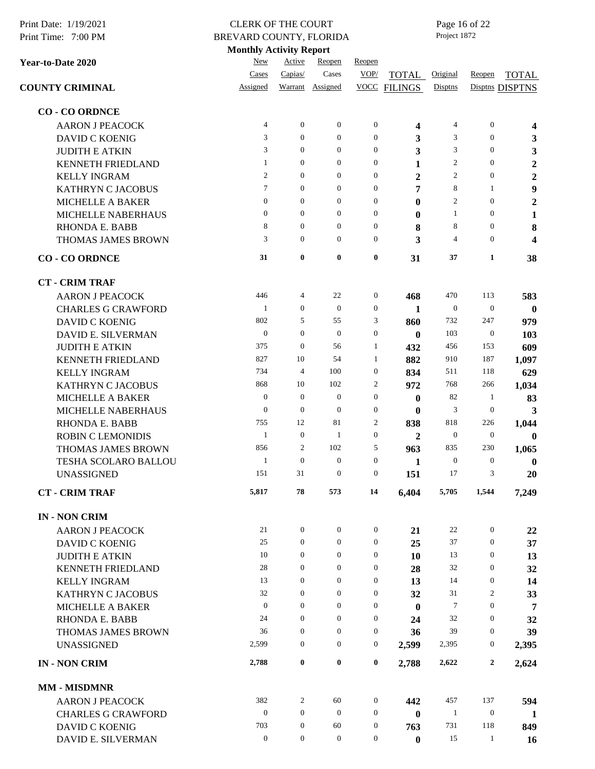| Print Date: 1/19/2021<br>Print Time: 7:00 PM | <b>CLERK OF THE COURT</b><br>BREVARD COUNTY, FLORIDA |                  |                  |                  |                         | Project 1872     | Page 16 of 22    |                         |
|----------------------------------------------|------------------------------------------------------|------------------|------------------|------------------|-------------------------|------------------|------------------|-------------------------|
|                                              | <b>Monthly Activity Report</b>                       |                  |                  |                  |                         |                  |                  |                         |
| Year-to-Date 2020                            | New                                                  | Active           | Reopen           | Reopen           |                         |                  |                  |                         |
|                                              | Cases                                                | Capias/          | Cases            | VOP/             | TOTAL                   | Original         | Reopen           | <b>TOTAL</b>            |
| <b>COUNTY CRIMINAL</b>                       | Assigned                                             | Warrant          | Assigned         |                  | <b>VOCC FILINGS</b>     | Disptns          |                  | Disptns DISPTNS         |
| <b>CO - CO ORDNCE</b>                        |                                                      |                  |                  |                  |                         |                  |                  |                         |
| <b>AARON J PEACOCK</b>                       | 4                                                    | $\boldsymbol{0}$ | $\mathbf{0}$     | $\boldsymbol{0}$ | $\overline{\mathbf{4}}$ | 4                | $\boldsymbol{0}$ | $\overline{\mathbf{4}}$ |
| <b>DAVID C KOENIG</b>                        | 3                                                    | $\boldsymbol{0}$ | $\boldsymbol{0}$ | $\boldsymbol{0}$ | 3                       | 3                | $\boldsymbol{0}$ | 3                       |
| <b>JUDITH E ATKIN</b>                        | 3                                                    | $\mathbf{0}$     | $\boldsymbol{0}$ | $\boldsymbol{0}$ | 3                       | 3                | $\boldsymbol{0}$ | 3                       |
| <b>KENNETH FRIEDLAND</b>                     | $\mathbf{1}$                                         | $\overline{0}$   | $\mathbf{0}$     | $\mathbf{0}$     | 1                       | $\overline{c}$   | $\mathbf{0}$     | $\boldsymbol{2}$        |
| <b>KELLY INGRAM</b>                          | $\mathfrak{2}$                                       | $\mathbf{0}$     | $\mathbf{0}$     | $\boldsymbol{0}$ | $\boldsymbol{2}$        | $\overline{c}$   | $\boldsymbol{0}$ | $\boldsymbol{2}$        |
| <b>KATHRYN C JACOBUS</b>                     | 7                                                    | $\mathbf{0}$     | $\mathbf{0}$     | $\boldsymbol{0}$ | 7                       | 8                | 1                | $\boldsymbol{9}$        |
| <b>MICHELLE A BAKER</b>                      | $\overline{0}$                                       | $\boldsymbol{0}$ | $\boldsymbol{0}$ | $\boldsymbol{0}$ | $\bf{0}$                | $\overline{c}$   | $\boldsymbol{0}$ | $\boldsymbol{2}$        |
| MICHELLE NABERHAUS                           | $\boldsymbol{0}$                                     | $\boldsymbol{0}$ | $\boldsymbol{0}$ | $\boldsymbol{0}$ | $\bf{0}$                | $\mathbf{1}$     | $\boldsymbol{0}$ | $\mathbf{1}$            |
| <b>RHONDA E. BABB</b>                        | 8                                                    | $\boldsymbol{0}$ | $\boldsymbol{0}$ | $\boldsymbol{0}$ | 8                       | 8                | $\boldsymbol{0}$ | $\bf 8$                 |
| <b>THOMAS JAMES BROWN</b>                    | 3                                                    | $\mathbf{0}$     | $\mathbf{0}$     | $\boldsymbol{0}$ | 3                       | 4                | $\mathbf{0}$     | $\overline{\mathbf{4}}$ |
| <b>CO - CO ORDNCE</b>                        | 31                                                   | $\bf{0}$         | $\bf{0}$         | $\pmb{0}$        | 31                      | 37               | 1                | 38                      |
| <b>CT - CRIM TRAF</b>                        |                                                      |                  |                  |                  |                         |                  |                  |                         |
| <b>AARON J PEACOCK</b>                       | 446                                                  | 4                | 22               | $\boldsymbol{0}$ | 468                     | 470              | 113              | 583                     |
| <b>CHARLES G CRAWFORD</b>                    | 1                                                    | $\mathbf{0}$     | $\boldsymbol{0}$ | $\boldsymbol{0}$ | 1                       | $\boldsymbol{0}$ | $\boldsymbol{0}$ | $\bf{0}$                |
| <b>DAVID C KOENIG</b>                        | 802                                                  | 5                | 55               | 3                | 860                     | 732              | 247              | 979                     |
| DAVID E. SILVERMAN                           | $\mathbf{0}$                                         | $\mathbf{0}$     | $\theta$         | $\boldsymbol{0}$ | $\bf{0}$                | 103              | $\boldsymbol{0}$ | 103                     |
| <b>JUDITH E ATKIN</b>                        | 375                                                  | $\boldsymbol{0}$ | 56               | 1                | 432                     | 456              | 153              | 609                     |
| <b>KENNETH FRIEDLAND</b>                     | 827                                                  | 10               | 54               | 1                | 882                     | 910              | 187              | 1,097                   |
| <b>KELLY INGRAM</b>                          | 734                                                  | 4                | 100              | $\boldsymbol{0}$ | 834                     | 511              | 118              | 629                     |
| <b>KATHRYN C JACOBUS</b>                     | 868                                                  | 10               | 102              | 2                | 972                     | 768              | 266              | 1,034                   |
| <b>MICHELLE A BAKER</b>                      | $\theta$                                             | $\mathbf{0}$     | $\boldsymbol{0}$ | $\boldsymbol{0}$ | $\bf{0}$                | 82               | 1                | 83                      |
| MICHELLE NABERHAUS                           | $\mathbf{0}$                                         | $\boldsymbol{0}$ | $\boldsymbol{0}$ | $\boldsymbol{0}$ | $\bf{0}$                | 3                | $\boldsymbol{0}$ | 3                       |
| RHONDA E. BABB                               | 755                                                  | 12               | 81               | $\boldsymbol{2}$ | 838                     | 818              | 226              | 1,044                   |
| <b>ROBIN C LEMONIDIS</b>                     | 1                                                    | $\mathbf{0}$     | $\mathbf{1}$     | $\boldsymbol{0}$ | $\boldsymbol{2}$        | $\boldsymbol{0}$ | $\boldsymbol{0}$ | $\boldsymbol{0}$        |
| <b>THOMAS JAMES BROWN</b>                    | 856                                                  | 2                | 102              | 5                | 963                     | 835              | 230              | 1,065                   |
| TESHA SCOLARO BALLOU                         | $\mathbf{1}$                                         | $\boldsymbol{0}$ | $\boldsymbol{0}$ | $\boldsymbol{0}$ | 1                       | $\boldsymbol{0}$ | $\boldsymbol{0}$ | $\bf{0}$                |
| <b>UNASSIGNED</b>                            | 151                                                  | 31               | $\boldsymbol{0}$ | $\boldsymbol{0}$ | 151                     | 17               | 3                | 20                      |
| <b>CT - CRIM TRAF</b>                        | 5,817                                                | 78               | 573              | 14               | 6,404                   | 5,705            | 1,544            | 7,249                   |
| <b>IN - NON CRIM</b>                         |                                                      |                  |                  |                  |                         |                  |                  |                         |
| <b>AARON J PEACOCK</b>                       | 21                                                   | $\mathbf{0}$     | $\mathbf{0}$     | $\boldsymbol{0}$ | 21                      | 22               | $\boldsymbol{0}$ | 22                      |
| <b>DAVID C KOENIG</b>                        | 25                                                   | $\mathbf{0}$     | $\boldsymbol{0}$ | $\boldsymbol{0}$ | 25                      | 37               | $\boldsymbol{0}$ | 37                      |
| <b>JUDITH E ATKIN</b>                        | 10                                                   | $\mathbf{0}$     | $\boldsymbol{0}$ | $\boldsymbol{0}$ | 10                      | 13               | $\boldsymbol{0}$ | 13                      |
| <b>KENNETH FRIEDLAND</b>                     | 28                                                   | $\boldsymbol{0}$ | $\boldsymbol{0}$ | $\boldsymbol{0}$ | 28                      | 32               | $\boldsymbol{0}$ | 32                      |
| <b>KELLY INGRAM</b>                          | 13                                                   | $\boldsymbol{0}$ | $\boldsymbol{0}$ | $\boldsymbol{0}$ | 13                      | 14               | $\boldsymbol{0}$ | 14                      |
| <b>KATHRYN C JACOBUS</b>                     | 32                                                   | $\boldsymbol{0}$ | $\boldsymbol{0}$ | $\boldsymbol{0}$ | 32                      | 31               | 2                | 33                      |
| <b>MICHELLE A BAKER</b>                      | $\mathbf{0}$                                         | $\mathbf{0}$     | $\boldsymbol{0}$ | $\boldsymbol{0}$ | $\bf{0}$                | 7                | $\boldsymbol{0}$ | 7                       |
| <b>RHONDA E. BABB</b>                        | 24                                                   | $\mathbf{0}$     | $\boldsymbol{0}$ | $\boldsymbol{0}$ | 24                      | 32               | $\boldsymbol{0}$ | 32                      |
| THOMAS JAMES BROWN                           | 36                                                   | $\boldsymbol{0}$ | $\boldsymbol{0}$ | $\boldsymbol{0}$ | 36                      | 39               | $\boldsymbol{0}$ | 39                      |
| <b>UNASSIGNED</b>                            | 2,599                                                | $\boldsymbol{0}$ | $\boldsymbol{0}$ | $\boldsymbol{0}$ | 2,599                   | 2,395            | $\boldsymbol{0}$ | 2,395                   |
| <b>IN - NON CRIM</b>                         | 2,788                                                | $\boldsymbol{0}$ | $\boldsymbol{0}$ | $\bf{0}$         | 2,788                   | 2,622            | $\boldsymbol{2}$ | 2,624                   |
| <b>MM - MISDMNR</b>                          |                                                      |                  |                  |                  |                         |                  |                  |                         |
| <b>AARON J PEACOCK</b>                       | 382                                                  | 2                | 60               | $\boldsymbol{0}$ | 442                     | 457              | 137              | 594                     |
| <b>CHARLES G CRAWFORD</b>                    | $\boldsymbol{0}$                                     | $\boldsymbol{0}$ | $\boldsymbol{0}$ | $\boldsymbol{0}$ | $\bf{0}$                | $\mathbf{1}$     | $\boldsymbol{0}$ | 1                       |
| <b>DAVID C KOENIG</b>                        | 703                                                  | $\boldsymbol{0}$ | 60               | $\boldsymbol{0}$ | 763                     | 731              | 118              | 849                     |
| DAVID E. SILVERMAN                           | $\boldsymbol{0}$                                     | $\boldsymbol{0}$ | $\boldsymbol{0}$ | $\boldsymbol{0}$ | $\boldsymbol{0}$        | 15               | $\mathbf{1}$     | 16                      |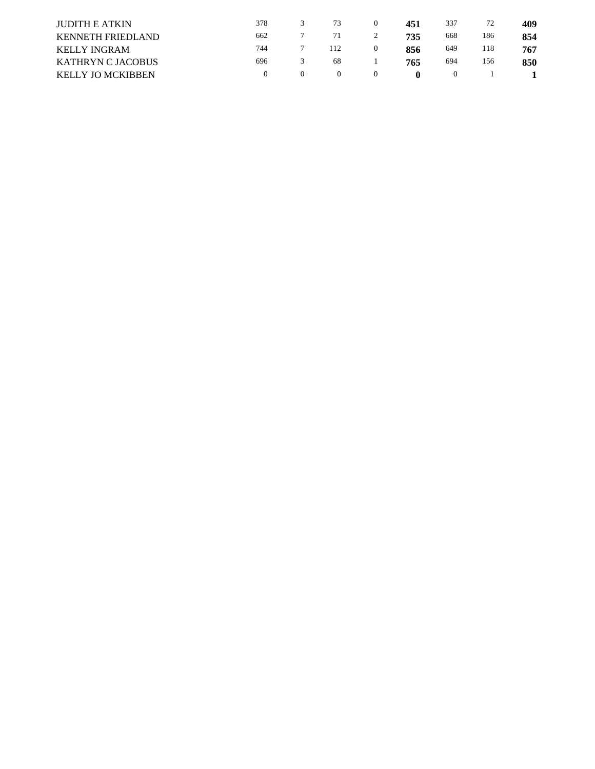| <b>JUDITH E ATKIN</b>    | 378      |          | 73  |   | 451          | 337      | 72  | 409 |
|--------------------------|----------|----------|-----|---|--------------|----------|-----|-----|
| <b>KENNETH FRIEDLAND</b> | 662      |          | 71  | 2 | 735          | 668      | 186 | 854 |
| <b>KELLY INGRAM</b>      | 744      |          | 112 |   | 856          | 649      | 118 | 767 |
| <b>KATHRYN C JACOBUS</b> | 696      |          | 68  |   | 765          | 694      | 156 | 850 |
| <b>KELLY JO MCKIBBEN</b> | $\Omega$ | $\theta$ |     |   | $\mathbf{u}$ | $\theta$ |     |     |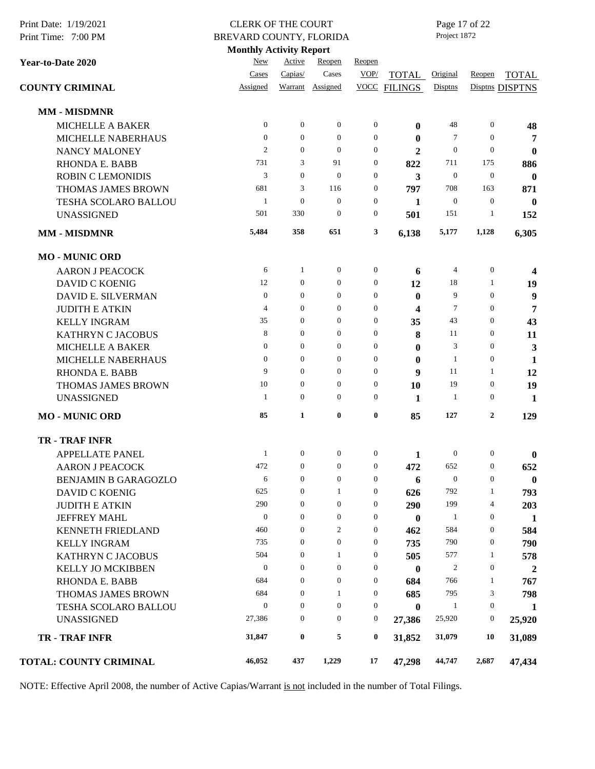| Print Date: 1/19/2021<br>Print Time: 7:00 PM | <b>CLERK OF THE COURT</b><br>BREVARD COUNTY, FLORIDA |                  |                  |                  |                | Page 17 of 22<br>Project 1872 |                  |                  |
|----------------------------------------------|------------------------------------------------------|------------------|------------------|------------------|----------------|-------------------------------|------------------|------------------|
|                                              | <b>Monthly Activity Report</b>                       |                  |                  |                  |                |                               |                  |                  |
| Year-to-Date 2020                            | New                                                  | Active           | Reopen           | Reopen           |                |                               |                  |                  |
|                                              | Cases                                                | Capias/          | Cases            | VOP/             | TOTAL          | Original                      | Reopen           | <b>TOTAL</b>     |
| <b>COUNTY CRIMINAL</b>                       | Assigned                                             | Warrant          | Assigned         | <b>VOCC</b>      | <b>FILINGS</b> | Disptns                       |                  | Disptns DISPTNS  |
| <b>MM - MISDMNR</b>                          |                                                      |                  |                  |                  |                |                               |                  |                  |
| <b>MICHELLE A BAKER</b>                      | $\mathbf{0}$                                         | $\boldsymbol{0}$ | $\mathbf{0}$     | $\boldsymbol{0}$ | 0              | 48                            | $\mathbf{0}$     | 48               |
| MICHELLE NABERHAUS                           | $\theta$                                             | $\boldsymbol{0}$ | $\overline{0}$   | $\boldsymbol{0}$ | $\bf{0}$       | 7                             | $\theta$         | 7                |
| <b>NANCY MALONEY</b>                         | $\overline{c}$                                       | $\theta$         | $\overline{0}$   | $\boldsymbol{0}$ | $\mathbf{2}$   | $\mathbf{0}$                  | $\theta$         | $\boldsymbol{0}$ |
| <b>RHONDA E. BABB</b>                        | 731                                                  | 3                | 91               | $\boldsymbol{0}$ | 822            | 711                           | 175              | 886              |
| <b>ROBIN C LEMONIDIS</b>                     | 3                                                    | $\overline{0}$   | $\boldsymbol{0}$ | $\boldsymbol{0}$ | 3              | $\boldsymbol{0}$              | $\mathbf{0}$     | $\bf{0}$         |
| THOMAS JAMES BROWN                           | 681                                                  | 3                | 116              | $\boldsymbol{0}$ | 797            | 708                           | 163              | 871              |
| TESHA SCOLARO BALLOU                         | $\mathbf{1}$                                         | $\boldsymbol{0}$ | $\mathbf{0}$     | $\boldsymbol{0}$ | 1              | $\boldsymbol{0}$              | $\mathbf{0}$     | $\bf{0}$         |
| <b>UNASSIGNED</b>                            | 501                                                  | 330              | $\mathbf{0}$     | $\boldsymbol{0}$ | 501            | 151                           | 1                | 152              |
| <b>MM - MISDMNR</b>                          | 5,484                                                | 358              | 651              | 3                | 6,138          | 5,177                         | 1,128            | 6,305            |
| <b>MO - MUNIC ORD</b>                        |                                                      |                  |                  |                  |                |                               |                  |                  |
| <b>AARON J PEACOCK</b>                       | 6                                                    | 1                | $\boldsymbol{0}$ | $\boldsymbol{0}$ | 6              | 4                             | $\boldsymbol{0}$ | 4                |
| <b>DAVID C KOENIG</b>                        | 12                                                   | $\boldsymbol{0}$ | $\boldsymbol{0}$ | $\boldsymbol{0}$ | 12             | 18                            | 1                | 19               |
| DAVID E. SILVERMAN                           | $\mathbf{0}$                                         | $\boldsymbol{0}$ | 0                | $\boldsymbol{0}$ | $\bf{0}$       | 9                             | $\mathbf{0}$     | 9                |
| <b>JUDITH E ATKIN</b>                        | 4                                                    | $\boldsymbol{0}$ | 0                | $\boldsymbol{0}$ | 4              | 7                             | $\mathbf{0}$     | 7                |
| <b>KELLY INGRAM</b>                          | 35                                                   | $\boldsymbol{0}$ | $\boldsymbol{0}$ | $\boldsymbol{0}$ | 35             | 43                            | $\boldsymbol{0}$ | 43               |
| <b>KATHRYN C JACOBUS</b>                     | 8                                                    | $\boldsymbol{0}$ | $\overline{0}$   | $\boldsymbol{0}$ | 8              | 11                            | $\overline{0}$   | 11               |
| <b>MICHELLE A BAKER</b>                      | $\boldsymbol{0}$                                     | $\boldsymbol{0}$ | 0                | $\boldsymbol{0}$ | $\bf{0}$       | 3                             | $\mathbf{0}$     | $\mathbf{3}$     |
| MICHELLE NABERHAUS                           | $\theta$                                             | $\mathbf{0}$     | 0                | $\boldsymbol{0}$ | $\bf{0}$       | $\mathbf{1}$                  | $\boldsymbol{0}$ | $\mathbf{1}$     |
| <b>RHONDA E. BABB</b>                        | 9                                                    | $\theta$         | $\overline{0}$   | $\boldsymbol{0}$ | 9              | 11                            | 1                | 12               |
| THOMAS JAMES BROWN                           | 10                                                   | $\boldsymbol{0}$ | 0                | $\boldsymbol{0}$ | 10             | 19                            | $\mathbf{0}$     | 19               |
| <b>UNASSIGNED</b>                            | 1                                                    | $\boldsymbol{0}$ | 0                | $\boldsymbol{0}$ | 1              | 1                             | $\boldsymbol{0}$ | 1                |
| <b>MO-MUNIC ORD</b>                          | 85                                                   | $\mathbf{1}$     | $\bf{0}$         | $\boldsymbol{0}$ | 85             | 127                           | $\boldsymbol{2}$ | 129              |
| <b>TR - TRAF INFR</b>                        |                                                      |                  |                  |                  |                |                               |                  |                  |
| <b>APPELLATE PANEL</b>                       | $\mathbf{1}$                                         | $\boldsymbol{0}$ | $\boldsymbol{0}$ | $\boldsymbol{0}$ | 1              | $\boldsymbol{0}$              | $\boldsymbol{0}$ | $\bf{0}$         |
| <b>AARON J PEACOCK</b>                       | 472                                                  | $\mathbf{0}$     | $\boldsymbol{0}$ | $\boldsymbol{0}$ | 472            | 652                           | $\boldsymbol{0}$ | 652              |
| <b>BENJAMIN B GARAGOZLO</b>                  | 6                                                    | $\boldsymbol{0}$ | $\boldsymbol{0}$ | $\boldsymbol{0}$ | 6              | $\boldsymbol{0}$              | $\boldsymbol{0}$ | $\bf{0}$         |
| <b>DAVID C KOENIG</b>                        | 625                                                  | $\boldsymbol{0}$ | $\mathbf{1}$     | $\boldsymbol{0}$ | 626            | 792                           | 1                | 793              |
| <b>JUDITH E ATKIN</b>                        | 290                                                  | $\boldsymbol{0}$ | $\boldsymbol{0}$ | $\boldsymbol{0}$ | 290            | 199                           | 4                | 203              |
| <b>JEFFREY MAHL</b>                          | $\mathbf{0}$                                         | $\overline{0}$   | $\overline{0}$   | $\boldsymbol{0}$ | $\bf{0}$       | $\mathbf{1}$                  | $\mathbf{0}$     | 1                |
| KENNETH FRIEDLAND                            | 460                                                  | $\boldsymbol{0}$ | 2                | $\boldsymbol{0}$ | 462            | 584                           | $\boldsymbol{0}$ | 584              |
| <b>KELLY INGRAM</b>                          | 735                                                  | $\boldsymbol{0}$ | $\boldsymbol{0}$ | $\boldsymbol{0}$ | 735            | 790                           | $\boldsymbol{0}$ | 790              |
| <b>KATHRYN C JACOBUS</b>                     | 504                                                  | $\boldsymbol{0}$ | 1                | $\boldsymbol{0}$ | 505            | 577                           | 1                | 578              |
| <b>KELLY JO MCKIBBEN</b>                     | $\boldsymbol{0}$                                     | $\boldsymbol{0}$ | $\boldsymbol{0}$ | $\boldsymbol{0}$ | $\bf{0}$       | 2                             | $\boldsymbol{0}$ | $\boldsymbol{2}$ |
| <b>RHONDA E. BABB</b>                        | 684                                                  | $\boldsymbol{0}$ | $\boldsymbol{0}$ | $\boldsymbol{0}$ | 684            | 766                           | 1                | 767              |
| THOMAS JAMES BROWN                           | 684                                                  | $\theta$         | $\mathbf{1}$     | $\boldsymbol{0}$ | 685            | 795                           | 3                | 798              |
| TESHA SCOLARO BALLOU                         | $\boldsymbol{0}$                                     | $\theta$         | $\boldsymbol{0}$ | $\boldsymbol{0}$ | $\bf{0}$       | $\mathbf{1}$                  | $\boldsymbol{0}$ | 1                |
| <b>UNASSIGNED</b>                            | 27,386                                               | $\boldsymbol{0}$ | 0                | $\boldsymbol{0}$ | 27,386         | 25,920                        | $\boldsymbol{0}$ | 25,920           |
| <b>TR - TRAF INFR</b>                        | 31,847                                               | $\bf{0}$         | 5                | $\bf{0}$         | 31,852         | 31,079                        | 10               | 31,089           |
| <b>TOTAL: COUNTY CRIMINAL</b>                | 46,052                                               | 437              | 1,229            | 17               | 47,298         | 44,747                        | 2,687            | 47,434           |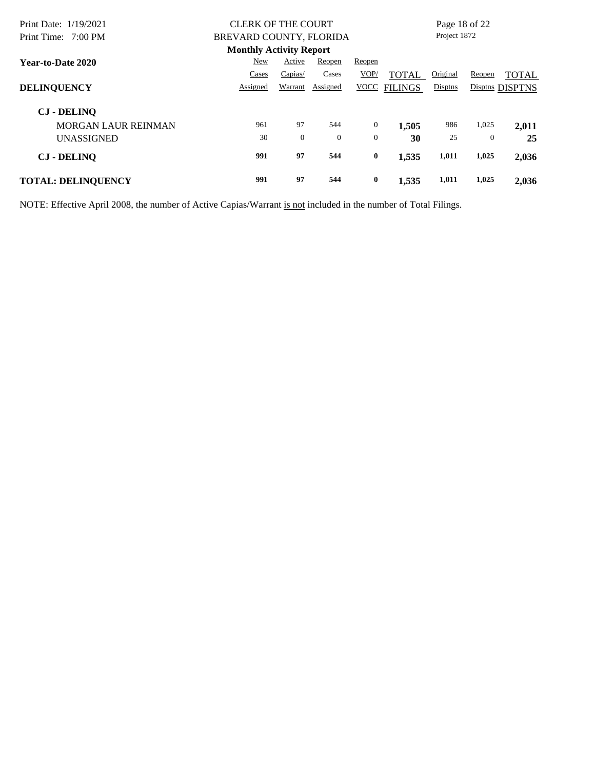| Print Date: 1/19/2021      | <b>CLERK OF THE COURT</b>      |                |          |              |                | Page 18 of 22 |          |                 |
|----------------------------|--------------------------------|----------------|----------|--------------|----------------|---------------|----------|-----------------|
| Print Time: 7:00 PM        | BREVARD COUNTY, FLORIDA        |                |          |              |                | Project 1872  |          |                 |
|                            | <b>Monthly Activity Report</b> |                |          |              |                |               |          |                 |
| Year-to-Date 2020          | New                            | Active         | Reopen   | Reopen       |                |               |          |                 |
|                            | Cases                          | Capias/        | Cases    | VOP/         | TOTAL          | Original      | Reopen   | <b>TOTAL</b>    |
| <b>DELINQUENCY</b>         | Assigned                       | Warrant        | Assigned | <b>VOCC</b>  | <b>FILINGS</b> | Disptns       |          | Disptns DISPTNS |
| <b>CJ - DELINO</b>         |                                |                |          |              |                |               |          |                 |
| <b>MORGAN LAUR REINMAN</b> | 961                            | 97             | 544      | $\mathbf{0}$ | 1,505          | 986           | 1,025    | 2,011           |
| <b>UNASSIGNED</b>          | 30                             | $\overline{0}$ | $\Omega$ | $\mathbf{0}$ | 30             | 25            | $\theta$ | 25              |
| <b>CJ - DELINO</b>         | 991                            | 97             | 544      | $\bf{0}$     | 1,535          | 1,011         | 1,025    | 2,036           |
| <b>TOTAL: DELINQUENCY</b>  | 991                            | 97             | 544      | $\bf{0}$     | 1,535          | 1,011         | 1,025    | 2,036           |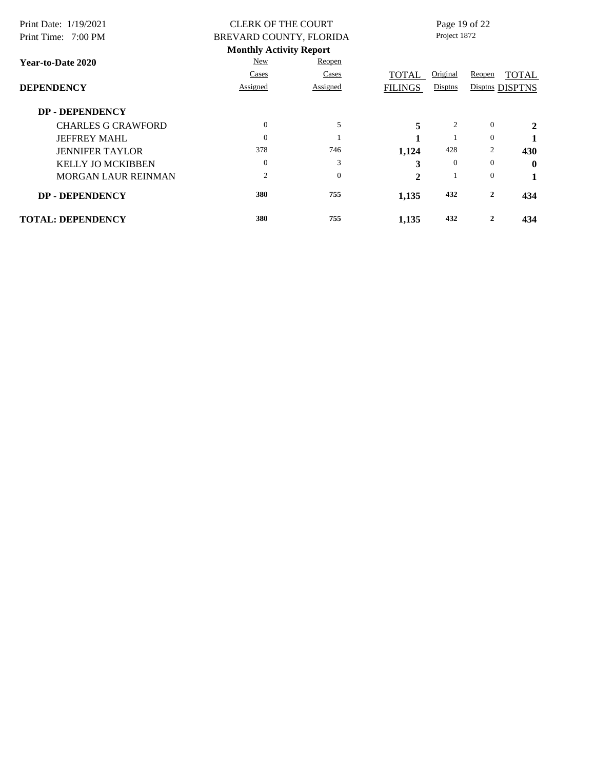| Print Date: 1/19/2021      | <b>CLERK OF THE COURT</b>      |                         |                | Page 19 of 22 |          |                 |  |
|----------------------------|--------------------------------|-------------------------|----------------|---------------|----------|-----------------|--|
| Print Time: 7:00 PM        |                                | BREVARD COUNTY, FLORIDA |                | Project 1872  |          |                 |  |
|                            | <b>Monthly Activity Report</b> |                         |                |               |          |                 |  |
| <b>Year-to-Date 2020</b>   | New                            | Reopen                  |                |               |          |                 |  |
|                            | Cases                          | Cases                   | TOTAL          | Original      | Reopen   | <b>TOTAL</b>    |  |
| <b>DEPENDENCY</b>          | Assigned                       | Assigned                | <b>FILINGS</b> | Disptns       |          | Disptns DISPTNS |  |
| <b>DP - DEPENDENCY</b>     |                                |                         |                |               |          |                 |  |
| <b>CHARLES G CRAWFORD</b>  | $\Omega$                       | 5                       | 5              | 2             | $\theta$ | 2               |  |
| <b>JEFFREY MAHL</b>        | $\Omega$                       |                         |                |               | $\Omega$ |                 |  |
| <b>JENNIFER TAYLOR</b>     | 378                            | 746                     | 1,124          | 428           | 2        | 430             |  |
| <b>KELLY JO MCKIBBEN</b>   | $\overline{0}$                 | 3                       | 3              | $\Omega$      | $\Omega$ | $\mathbf 0$     |  |
| <b>MORGAN LAUR REINMAN</b> | $\overline{2}$                 | $\Omega$                | $\mathbf{2}$   |               | $\theta$ | 1               |  |
| <b>DP - DEPENDENCY</b>     | 380                            | 755                     | 1,135          | 432           | 2        | 434             |  |
| <b>TOTAL: DEPENDENCY</b>   | 380                            | 755                     | 1,135          | 432           | 2        | 434             |  |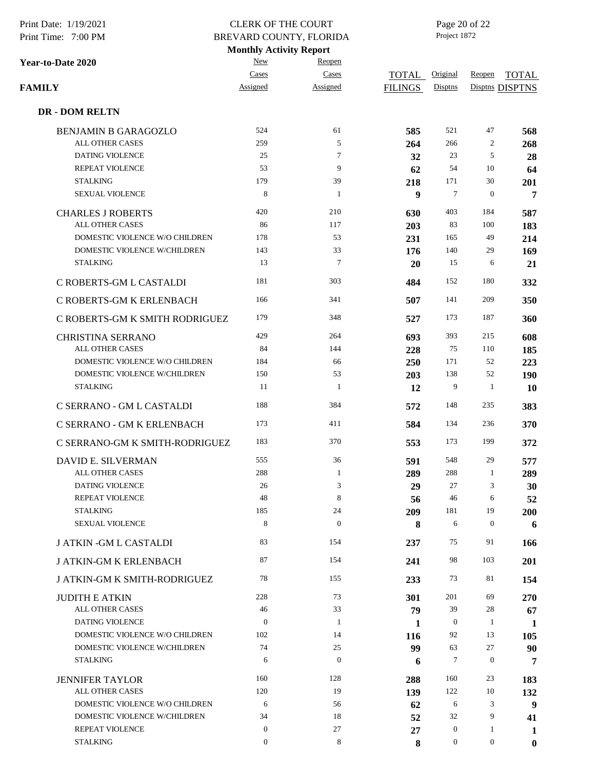| Print Date: 1/19/2021<br>Print Time: 7:00 PM             | <b>CLERK OF THE COURT</b>                                 |                    | Page 20 of 22<br>Project 1872 |                     |                  |                                 |  |  |
|----------------------------------------------------------|-----------------------------------------------------------|--------------------|-------------------------------|---------------------|------------------|---------------------------------|--|--|
|                                                          | BREVARD COUNTY, FLORIDA<br><b>Monthly Activity Report</b> |                    |                               |                     |                  |                                 |  |  |
| Year-to-Date 2020                                        | New                                                       | Reopen             |                               |                     |                  |                                 |  |  |
| FAMILY                                                   | Cases<br>Assigned                                         | Cases<br>Assigned  | TOTAL<br><b>FILINGS</b>       | Original<br>Disptns | Reopen           | <b>TOTAL</b><br>Disptns DISPTNS |  |  |
| <b>DR - DOM RELTN</b>                                    |                                                           |                    |                               |                     |                  |                                 |  |  |
| <b>BENJAMIN B GARAGOZLO</b>                              | 524                                                       | 61                 | 585                           | 521                 | 47               | 568                             |  |  |
| <b>ALL OTHER CASES</b>                                   | 259                                                       | 5                  | 264                           | 266                 | 2                | 268                             |  |  |
| DATING VIOLENCE                                          | 25                                                        | $\tau$             | 32                            | 23                  | 5                | 28                              |  |  |
| REPEAT VIOLENCE                                          | 53                                                        | 9                  | 62                            | 54                  | 10               | 64                              |  |  |
| <b>STALKING</b>                                          | 179                                                       | 39                 | 218                           | 171                 | 30               | 201                             |  |  |
| <b>SEXUAL VIOLENCE</b>                                   | 8                                                         | $\mathbf{1}$       | 9                             | 7                   | $\boldsymbol{0}$ | 7                               |  |  |
| <b>CHARLES J ROBERTS</b>                                 | 420                                                       | 210                | 630                           | 403                 | 184              | 587                             |  |  |
| ALL OTHER CASES                                          | 86                                                        | 117                | 203                           | 83                  | 100              | 183                             |  |  |
| DOMESTIC VIOLENCE W/O CHILDREN                           | 178                                                       | 53                 | 231                           | 165                 | 49               | 214                             |  |  |
| DOMESTIC VIOLENCE W/CHILDREN                             | 143                                                       | 33                 | 176                           | 140                 | 29               | 169                             |  |  |
| <b>STALKING</b>                                          | 13                                                        | $\tau$             | 20                            | 15                  | 6                | 21                              |  |  |
| C ROBERTS-GM L CASTALDI                                  | 181                                                       | 303                | 484                           | 152                 | 180              | 332                             |  |  |
| C ROBERTS-GM K ERLENBACH                                 | 166                                                       | 341                | 507                           | 141                 | 209              | 350                             |  |  |
| C ROBERTS-GM K SMITH RODRIGUEZ                           | 179                                                       | 348                | 527                           | 173                 | 187              | 360                             |  |  |
| <b>CHRISTINA SERRANO</b>                                 | 429                                                       | 264                | 693                           | 393                 | 215              | 608                             |  |  |
| ALL OTHER CASES                                          | 84                                                        | 144                | 228                           | 75                  | 110              | 185                             |  |  |
| DOMESTIC VIOLENCE W/O CHILDREN                           | 184                                                       | 66                 | 250                           | 171                 | 52               | 223                             |  |  |
| DOMESTIC VIOLENCE W/CHILDREN                             | 150                                                       | 53                 | 203                           | 138                 | 52               | 190                             |  |  |
| <b>STALKING</b>                                          | 11                                                        | -1                 | 12                            | 9                   | 1                | <b>10</b>                       |  |  |
| C SERRANO - GM L CASTALDI                                | 188                                                       | 384                | 572                           | 148                 | 235              | 383                             |  |  |
| C SERRANO - GM K ERLENBACH                               | 173                                                       | 411                | 584                           | 134                 | 236              | 370                             |  |  |
| C SERRANO-GM K SMITH-RODRIGUEZ                           | 183                                                       | 370                | 553                           | 173                 | 199              | 372                             |  |  |
| DAVID E. SILVERMAN                                       | 555                                                       | 36                 | 591                           | 548                 | 29               | 577                             |  |  |
| ALL OTHER CASES                                          | 288                                                       | $\mathbf{1}$       | 289                           | 288                 | 1                | 289                             |  |  |
| DATING VIOLENCE                                          | 26                                                        | 3                  | 29                            | 27                  | 3                | 30                              |  |  |
| REPEAT VIOLENCE                                          | 48                                                        | 8                  | 56                            | 46                  | 6                | 52                              |  |  |
| <b>STALKING</b>                                          | 185                                                       | 24                 | 209                           | 181                 | 19               | 200                             |  |  |
| <b>SEXUAL VIOLENCE</b>                                   | 8                                                         | $\boldsymbol{0}$   | 8                             | 6                   | $\boldsymbol{0}$ | 6                               |  |  |
| <b>J ATKIN - GM L CASTALDI</b>                           | 83                                                        | 154                | 237                           | 75                  | 91               | 166                             |  |  |
| <b>J ATKIN-GM K ERLENBACH</b>                            | 87                                                        | 154                | 241                           | 98                  | 103              | 201                             |  |  |
| <b>J ATKIN-GM K SMITH-RODRIGUEZ</b>                      | 78                                                        | 155                | 233                           | 73                  | 81               | 154                             |  |  |
| <b>JUDITH E ATKIN</b>                                    | 228                                                       | 73                 | 301                           | 201                 | 69               | 270                             |  |  |
| ALL OTHER CASES                                          | 46                                                        | 33                 | 79                            | 39                  | 28               | 67                              |  |  |
| <b>DATING VIOLENCE</b>                                   | $\boldsymbol{0}$                                          | 1                  | 1                             | $\mathbf{0}$        | 1                | 1                               |  |  |
| DOMESTIC VIOLENCE W/O CHILDREN                           | 102                                                       | 14                 | 116                           | 92                  | 13               | 105                             |  |  |
| DOMESTIC VIOLENCE W/CHILDREN                             | 74                                                        | 25<br>$\mathbf{0}$ | 99                            | 63                  | 27               | 90                              |  |  |
| <b>STALKING</b>                                          | 6                                                         |                    | 6                             | 7                   | $\boldsymbol{0}$ | 7                               |  |  |
| <b>JENNIFER TAYLOR</b>                                   | 160                                                       | 128                | 288                           | 160                 | 23               | 183                             |  |  |
| <b>ALL OTHER CASES</b><br>DOMESTIC VIOLENCE W/O CHILDREN | 120                                                       | 19                 | 139                           | 122                 | 10<br>3          | 132                             |  |  |
| DOMESTIC VIOLENCE W/CHILDREN                             | 6<br>34                                                   | 56<br>18           | 62                            | 6<br>32             | 9                | $\boldsymbol{9}$                |  |  |
| REPEAT VIOLENCE                                          | $\mathbf{0}$                                              | 27                 | 52<br>27                      | $\mathbf{0}$        | 1                | 41<br>1                         |  |  |
| <b>STALKING</b>                                          | $\mathbf{0}$                                              | 8                  | 8                             | $\boldsymbol{0}$    | $\overline{0}$   | $\bf{0}$                        |  |  |
|                                                          |                                                           |                    |                               |                     |                  |                                 |  |  |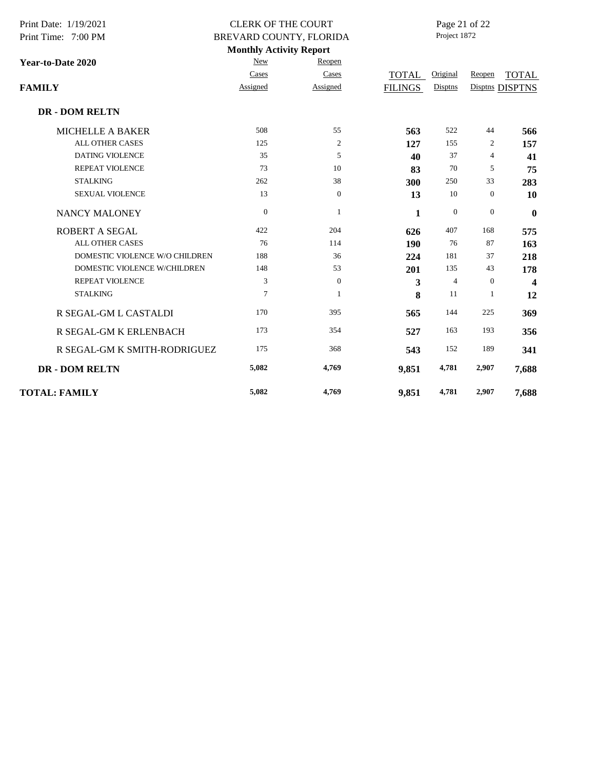| Print Date: 1/19/2021<br>Print Time: 7:00 PM |                | <b>CLERK OF THE COURT</b><br>BREVARD COUNTY, FLORIDA |                | Page 21 of 22<br>Project 1872 |                  |                         |  |
|----------------------------------------------|----------------|------------------------------------------------------|----------------|-------------------------------|------------------|-------------------------|--|
|                                              |                | <b>Monthly Activity Report</b>                       |                |                               |                  |                         |  |
| Year-to-Date 2020                            | <b>New</b>     | Reopen                                               |                |                               |                  |                         |  |
|                                              | Cases          | Cases                                                | TOTAL          | Original                      | Reopen           | <b>TOTAL</b>            |  |
| <b>FAMILY</b>                                | Assigned       | Assigned                                             | <b>FILINGS</b> | Disptns                       |                  | Disptns DISPTNS         |  |
| <b>DR - DOM RELTN</b>                        |                |                                                      |                |                               |                  |                         |  |
| <b>MICHELLE A BAKER</b>                      | 508            | 55                                                   | 563            | 522                           | 44               | 566                     |  |
| <b>ALL OTHER CASES</b>                       | 125            | 2                                                    | 127            | 155                           | 2                | 157                     |  |
| <b>DATING VIOLENCE</b>                       | 35             | 5                                                    | 40             | 37                            | 4                | 41                      |  |
| <b>REPEAT VIOLENCE</b>                       | 73             | 10                                                   | 83             | 70                            | 5                | 75                      |  |
| <b>STALKING</b>                              | 262            | 38                                                   | 300            | 250                           | 33               | 283                     |  |
| <b>SEXUAL VIOLENCE</b>                       | 13             | $\boldsymbol{0}$                                     | 13             | 10                            | $\mathbf{0}$     | 10                      |  |
| <b>NANCY MALONEY</b>                         | $\mathbf{0}$   | 1                                                    | 1              | $\mathbf{0}$                  | $\boldsymbol{0}$ | $\bf{0}$                |  |
| ROBERT A SEGAL                               | 422            | 204                                                  | 626            | 407                           | 168              | 575                     |  |
| <b>ALL OTHER CASES</b>                       | 76             | 114                                                  | 190            | 76                            | 87               | 163                     |  |
| DOMESTIC VIOLENCE W/O CHILDREN               | 188            | 36                                                   | 224            | 181                           | 37               | 218                     |  |
| DOMESTIC VIOLENCE W/CHILDREN                 | 148            | 53                                                   | 201            | 135                           | 43               | 178                     |  |
| <b>REPEAT VIOLENCE</b>                       | 3              | $\boldsymbol{0}$                                     | 3              | $\overline{4}$                | $\mathbf{0}$     | $\overline{\mathbf{4}}$ |  |
| <b>STALKING</b>                              | $\overline{7}$ | 1                                                    | 8              | 11                            | $\mathbf{1}$     | 12                      |  |
| R SEGAL-GM L CASTALDI                        | 170            | 395                                                  | 565            | 144                           | 225              | 369                     |  |
| R SEGAL-GM K ERLENBACH                       | 173            | 354                                                  | 527            | 163                           | 193              | 356                     |  |
| R SEGAL-GM K SMITH-RODRIGUEZ                 | 175            | 368                                                  | 543            | 152                           | 189              | 341                     |  |
| <b>DR - DOM RELTN</b>                        | 5,082          | 4,769                                                | 9,851          | 4,781                         | 2,907            | 7,688                   |  |
| <b>TOTAL: FAMILY</b>                         | 5,082          | 4,769                                                | 9,851          | 4,781                         | 2,907            | 7,688                   |  |